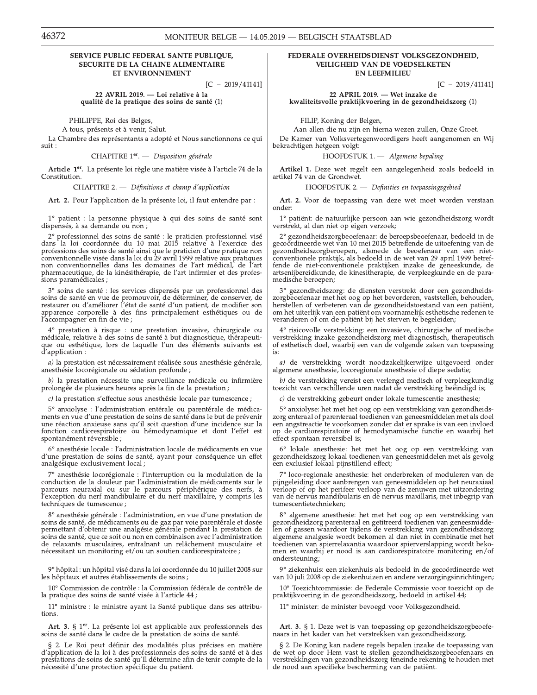## MONITEUR BELGE - 14.05.2019 - BELGISCH STAATSBLAD

# SERVICE PUBLIC FEDERAL SANTE PUBLIOUE, **SECURITE DE LA CHAINE ALIMENTAIRE** ET ENVIRONNEMENT

 $[C - 2019/41141]$ 

22 AVRIL 2019. - Loi relative à la qualité de la pratique des soins de santé (1)

PHILIPPE, Roi des Belges,

A tous, présents et à venir, Salut.

La Chambre des représentants a adopté et Nous sanctionnons ce qui  $_{\rm suit}$  :

CHAPITRE 1er. - Disposition générale

Article 1<sup>er</sup>. La présente loi règle une matière visée à l'article 74 de la Constitution.

CHAPITRE 2. - Définitions et champ d'application

Art. 2. Pour l'application de la présente loi, il faut entendre par :

1° patient : la personne physique à qui des soins de santé sont dispensés, à sa demande ou non ;

 $2^{\circ}$  professionnel des soins de santé : le praticien professionnel visé dans la loi coordonnée du 10 mai 2015 relative à l'exercice des and professions des soins de santé ainsi que le praticien d'une pratique non conventionnelle visée dans la loi du 29 avril 1999 relative aux pratiques non conventionnelles dans les domaines de l'art médical, de l'art pharmaceutique, de la kinésithérapie, de l'art infirmier et des professions paramédicales;

3° soins de santé : les services dispensés par un professionnel des soins de santé en vue de promouvoir, de déterminer, de conserver, de restaurer ou d'améliorer l'état de santé d'un patient, de modifier son apparence corporelle à des fins principalement esthétiques ou de l'accompagner en fin de vie ;

prestation à risque : une prestation invasive, chirurgicale ou médicale, relative à des soins de santé à but diagnostique, thérapeutique ou esthétique, lors de laquelle l'un des éléments suivants est d'application :

a) la prestation est nécessairement réalisée sous anesthésie générale, anesthésie locorégionale ou sédation profonde ;

b) la prestation nécessite une surveillance médicale ou infirmière prolongée de plusieurs heures après la fin de la prestation ;

c) la prestation s'effectue sous anesthésie locale par tumescence ;

5° anxiolyse : l'administration entérale ou parentérale de médicaments en vue d'une prestation de soins de santé dans le but de prévenir ne réaction anxieuse sans qu'il soit question d'une incidence sur la<br>fonction cardiorespiratoire ou hémodynamique et dont l'effet est spontanément réversible ;

6° anesthésie locale : l'administration locale de médicaments en vue d'une prestation de soins de santé, ayant pour conséquence un effet analgésique exclusivement local;

7º anesthésie locorégionale : l'interruption ou la modulation de la conduction de la douleur par l'administration de médicaments sur le parcours neuraxial ou sur le parcours périphérique des nerfs, à<br>l'exception du nerf mandibulaire et du nerf maxillaire, y compris les techniques de tumescence ;

8° anesthésie générale : l'administration, en vue d'une prestation de soins de santé, de médicaments ou de gaz par voie parentérale et dosée permettant d'obtenir une analgésie générale pendant la prestation de soins de santé, que ce soit ou non en combinaison avec l'administration de relaxants musculaires, entraînant un relâchement musculaire et nécessitant un monitoring et/ou un soutien cardiorespiratoire ;

9° hôpital : un hôpital visé dans la loi coordonnée du 10 juillet 2008 sur les hôpitaux et autres établissements de soins ;

10° Commission de contrôle : la Commission fédérale de contrôle de la pratique des soins de santé visée à l'article 44 ;

11° ministre : le ministre ayant la Santé publique dans ses attributions.

Art. 3. § 1<sup>er</sup>. La présente loi est applicable aux professionnels des soins de santé dans le cadre de la prestation de soins de santé.

§ 2. Le Roi peut définir des modalités plus précises en matière d'application de la loi à des professionnels des soins de santé et à des prestations de soins de santé qu'Il détermine afin de tenir compte de la nécessité d'une protection spécifique du patient.

# FEDERALE OVERHEIDSDIENST VOLKSGEZONDHEID, VEILIGHEID VAN DE VOEDSELKETEN **EN LEEFMILIEU**

 $[C - 2019/41141]$ 

22 APRIL 2019. - Wet inzake de kwaliteitsvolle praktijkvoering in de gezondheidszorg (1)

FILIP, Koning der Belgen,

Aan allen die nu zijn en hierna wezen zullen, Onze Groet. De Kamer van Volksvertegenwoordigers heeft aangenomen en Wij bekrachtigen hetgeen volgt:

HOOFDSTUK 1. - Algemene bepaling

Artikel 1. Deze wet regelt een aangelegenheid zoals bedoeld in artikel 74 van de Grondwet.

HOOFDSTUK 2. - Definities en toepassingsgebied

Art. 2. Voor de toepassing van deze wet moet worden verstaan onder:

1° patiënt: de natuurlijke persoon aan wie gezondheidszorg wordt verstrekt, al dan niet op eigen verzoek;

<sup>2</sup>° gezondheidszorgbeoefenaar: de beroepsbeoefenaar, bedoeld in de gecoördineerde wet van 10 mei 2015 betreffende de uitoefening van de gezondheidszorgberoepen, alsmede de beoefenaar van een niet-conventionele praktijk, als bedoeld in de wet van 29 april 1999 betreffende de niet-conventionele praktijken inzake de geneeskunde, de artsenijbereidkunde, de kinesitherapie, de verpleegkunde en de paramedische beroepen;

3° gezondheidszorg: de diensten verstrekt door een gezondheidszorgbeoefenaar met het oog op het bevorderen, vaststellen, behouden, herstellen of verbeteren van de gezondheidstoestand van een patiënt, om het uiterlijk van een patiënt om voornamelijk esthetische redenen te veranderen of om de patiënt bij het sterven te begeleiden;

 $4^{\circ}$ risicovolle verstrekking: een invasieve, chirurgische of medische verstrekking inzake gezondheidszorg met diagnostisch, therapeutisch of esthetisch doel, waarbij een van de volgende zaken van toepassing is:

a) de verstrekking wordt noodzakelijkerwijze uitgevoerd onder algemene anesthesie, locoregionale anesthesie of diepe sedatie;

b) de verstrekking vereist een verlengd medisch of verpleegkundig toezicht van verschillende uren nadat de verstrekking beëindigd is;

 $c$ ) de verstrekking gebeurt onder lokale tumescentie anesthesie;

5° anxiolyse: het met het oog op een verstrekking van gezondheidszorg enteraal of parenteraal toedienen van geneesmiddelen met als doel een angstreactie te voorkomen zonder dat er sprake is van een invloed op de cardiorespiratoire of hemodynamische functie en waarbij het effect spontaan reversibel is;

6° lokale anesthesie: het met het oog op een verstrekking van gezondheidszorg lokaal toedienen van geneesmiddelen met als gevolg een exclusief lokaal pijnstillend effect;

7° loco-regionale anesthesie: het onderbreken of moduleren van de pijngeleiding door aanbrengen van geneesmiddelen op het neuraxiaal verloop of op het perifeer verloop van de zenuwen met uitzondering van de nervus mandibularis en de nervus maxillaris, met inbegrip van tumescentietechnieken;

 $8^{\circ}$  algemene anesthesie: het met het oog op een verstrekking van gezondheidzorg parenteraal en getitreerd toedienen van geneesmiddelen of gassen waardoor tijdens de verstrekking van gezondheidszorg algemene analgesie wordt bekomen al dan niet in combinatie met het toedienen van spierrelaxantia waardoor spierverslapping wordt bekomen en waarbij er nood is aan cardiorespiratoire monitoring en/of ondersteuning;

9° ziekenhuis: een ziekenhuis als bedoeld in de gecoördineerde wet van 10 juli 2008 op de ziekenhuizen en andere verzorgingsinrichtingen;

10° Toezichtcommissie: de Federale Commissie voor toezicht op de praktijkvoering in de gezondheidszorg, bedoeld in artikel 44;

11° minister: de minister bevoegd voor Volksgezondheid.

Art. 3. § 1. Deze wet is van toepassing op gezondheidszorgbeoefenaars in het kader van het verstrekken van gezondheidszorg.

§ 2. De Koning kan nadere regels bepalen inzake de toepassing van de wet op door Hem vast te stellen gezondheidszorgbeoefenaars en verstrekkingen van gezondheidszorg teneinde rekening te houden met de nood aan specifieke bescherming van de patiënt.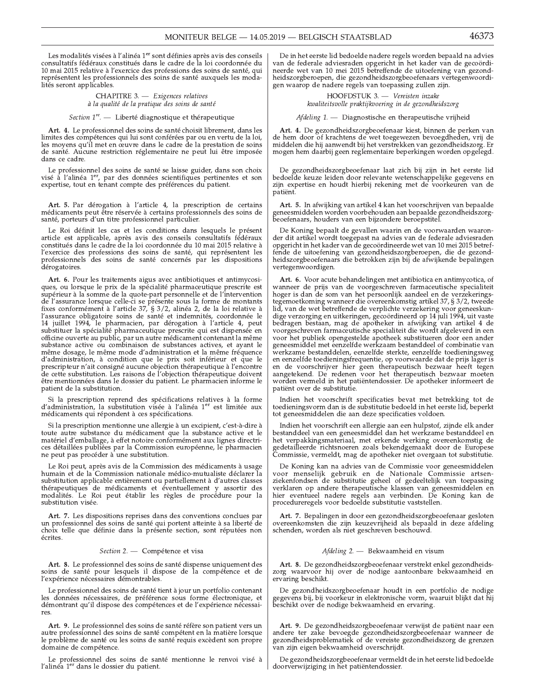Les modalités visées à l'alinéa 1<sup>er</sup> sont définies après avis des conseils consultatifs fédéraux constitués dans le cadre de la loi coordonnée du 10 mai 2015 relative à l'exercice des professions des soins de santé, qui représentent les professionnels des soins de santé auxquels les modalités seront applicables.

> CHAPITRE 3. - Exigences relatives à la qualité de la pratique des soins de santé

#### Section 1<sup>re</sup>. — Liberté diagnostique et thérapeutique

Art. 4. Le professionnel des soins de santé choisit librement, dans les limites des compétences qui lui sont conférées par ou en vertu de la loi, les moyens qu'il met en œuvre dans le cadre de la prestation de soins de santé. Aucune restriction réglementaire ne peut lui être imposée dans ce cadre.

Le professionnel des soins de santé se laisse guider, dans son choix visé à l'alinéa 1<sup>er</sup>, par des données scientifiques pertinentes et son expertise, tout en tenant compte des préférences du patient.

Art. 5. Par dérogation à l'article 4, la prescription de certains médicaments peut être réservée à certains professionnels des soins de santé, porteurs d'un titre professionnel particulier.

Le Roi définit les cas et les conditions dans lesquels le présent article est applicable, après avis des conseils consultatifs fédéraux constitués dans le cadre de la loi coordonnée du 10 mai 2015 relative à l'exercice des professions des soins de santé, qui représentent les professionnels des soins de santé concernés par les dispositions dérogatoires.

Art. 6. Pour les traitements aigus avec antibiotiques et antimycosiques, ou lorsque le prix de la spécialité pharmaceutique prescrite est supérieur à la somme de la quote-part personnelle et de l'intervention de l'assurance lorsque celle-ci se présente sous la forme de montants<br>fixes conformément à l'article 37, § 3/2, alinéa 2, de la loi relative à l'assurance obligatoire soins de santé et indemnités, coordonnée le 14 juillet 1994, le pharmacien, par dérogation à l'article 4, peut substituer la spécialité pharmaceutique prescrite qui est dispensée en officine ouverte au public, par un autre médicament contenant la même substance active ou combinaison de substances actives, et ayant le même dosage, le même mode d'administration et la même fréquence d'administration, à condition que le prix soit inférieur et que le prescripteur n'ait consigné aucune objection thérapeutique à l'encontre de cette substitution. Les raisons de l'objection thérapeutique doivent être mentionnées dans le dossier du patient. Le pharmacien informe le patient de la substitution

Si la prescription reprend des spécifications relatives à la forme d'administration, la substitution visée à l'alinéa 1<sup>er</sup> est limitée aux médicaments qui répondent à ces spécifications.

Si la prescription mentionne une allergie à un excipient, c'est-à-dire à toute autre substance du médicament que la substance active et le matériel d'emballage, à effet notoire conformément aux lignes directrices détaillées publiées par la Commission européenne, le pharmacien ne peut pas procéder à une substitution.

Le Roi peut, après avis de la Commission des médicaments à usage humain et de la Commission nationale médico-mutualiste déclarer la substitution applicable entièrement ou partiellement à d'autres classes thérapeutiques de médicaments et éventuellement y assortir des modalités. Le Roi peut établir les règles de procédure pour la substitution visée.

Art. 7. Les dispositions reprises dans des conventions conclues par un professionnel des soins de santé qui portent atteinte à sa liberté de choix telle que définie dans la présente section, sont réputées non écrites.

## Section 2. - Compétence et visa

Art. 8. Le professionnel des soins de santé dispense uniquement des soins de santé pour lesquels il dispose de la compétence et de l'expérience nécessaires démontrables.

Le professionnel des soins de santé tient à jour un portfolio contenant Les données nécessaires, de préférence sous forme électronique, et<br>démontrant qu'il dispose des compétences et de l'expérience nécessaires.

Art. 9. Le professionnel des soins de santé réfère son patient vers un autre professionnel des soins de santé compétent en la matière lorsque le problème de santé ou les soins de santé requis excèdent son propre domaine de compétence.

Le professionnel des soins de santé mentionne le renvoi visé à l'alinéa 1<sup>er</sup> dans le dossier du patient.

De in het eerste lid bedoelde nadere regels worden bepaald na advies van de federale adviesraden opgericht in het kader van de gecoördineerde wet van 10 mei 2015 betreffende de uitoefening van gezondheidszorgberoepen, die gezondheidszorgbeoefenaars vertegenwoordigen waarop de nadere regels van toepassing zullen zijn.

> HOOFDSTUK 3. - Vereisten inzake kwaliteitsvolle praktijkvoering in de gezondheidszorg

 $Afdeling 1$  — Diagnostische en therapeutische vrijheid

Art. 4. De gezondheidszorgbeoefenaar kiest, binnen de perken van de hem door of krachtens de wet toegewezen bevoegdheden, vrij de middelen die hij aanwendt bij het verstrekken van gezondheidszorg. Er mogen hem daarbij geen reglementaire beperkingen worden opgelegd.

De gezondheidszorgbeoefenaar laat zich bij zijn in het eerste lid bedoelde keuze leiden door relevante wetenschappelijke gegevens en zijn expertise en houdt hierbij rekening met de voorkeuren van de pátiënt.

Art. 5. In afwijking van artikel 4 kan het voorschrijven van bepaalde geneesmiddelen worden voorbehouden aan bepaalde gezondheidszorgbeoefenaars, houders van een bijzondere beroepstitel.

De Koning bepaalt de gevallen waarin en de voorwaarden waaronder dit artikel wordt toegepast na advies van de federale adviesraden opgericht in het kader van de gecoördineerde wet van 10 mei 2015 betreffende de uitoefening van gezondheidszorgberoepen, die de gezondheidszorgbeoefenaars die betrokken zijn bij de afwijkende bepalingen vertegenwoordigen.

Art. 6. Voor acute behandelingen met antibiotica en antimycotica, of wanneer de prijs van de voorgeschreven farmaceutische specialiteit hoger is dan de som van het persoonlijk aandeel en de verzekeringsregemoetkoming wanneer die overeenkomstig artikel 37, § 3/2, tweede lid, van de wet betreffende de verplichte verzekering voor geneeskundig. dige verzorging en uitkeringen, gecoördineerd op 14 juli 1994, uit vaste bedragen bestaan, mag de apotheker in afwijking van artikel 4 de voorgeschreven farmaceutische specialiteit die wordt afgeleverd in een voor het publiek opengestelde apotheek substitueren door een ander<br>geneesmiddel met eenzelfde werkzaam bestanddeel of combinatie van werkzame bestanddelen, eenzelfde sterkte, eenzelfde toedieningsweg en eenzelfde toedieningsfrequentie, op voorwaarde dat de prijs lager is en de voorschrijver hier geen therapeutisch bezwaar heeft tegen<br>aangetekend. De redenen voor het therapeutisch bezwaar moeten worden vermeld in het patiëntendossier. De apotheker informeert de patiënt over de substitutie.

Indien het voorschrift specificaties bevat met betrekking tot de toedieningsvorm dan is de substitutie bedoeld in het eerste lid, beperkt tot geneesmiddelen die aan deze specificaties voldoen.

Indien het voorschrift een allergie aan een hulpstof, zijnde elk ander bestanddeel van een geneesmiddel dan het werkzame bestanddeel en het verpakkingsmateriaal, met erkende werking overeenkomstig de gedetailleerde richtsnoeren zoals bekendgemaakt door de Europese Commissie, vermeldt, mag de apotheker niet overgaan tot substitutie.

De Koning kan na advies van de Commissie voor geneesmiddelen voor menselijk gebruik en de Nationale Commissie artsenziekenfondsen de substitutie geheel of gedeeltelijk van toepassing verklaren op andere therapeutische klassen van geneesmiddelen en hier eventueel nadere regels aan verbinden. De Koning kan de procedureregels voor bedoelde substitutie vaststellen.

Art. 7. Bepalingen in door een gezondheidszorgbeoefenaar gesloten overeenkomsten die zijn keuzevrijheid als bepaald in deze afdeling schenden, worden als niet geschreven beschouwd.

## Afdeling 2. - Bekwaamheid en visum

Art. 8. De gezondheidszorgbeoefenaar verstrekt enkel gezondheidszorg waarvoor hij over de nodige aantoonbare bekwaamheid en ervaring beschikt.

De gezondheidszorgbeoefenaar houdt in een portfolio de nodige gegevens bij, bij voorkeur in elektronische vorm, waaruit blijkt dat hij beschikt over de nodige bekwaamheid en ervaring.

Art. 9. De gezondheidszorgbeoefenaar verwijst de patiënt naar een andere ter zake bevoegde gezondheidszorgbeoefenaar wanneer de<br>gezondheidsproblematiek of de vereiste gezondheidszorg de grenzen van zijn eigen bekwaamheid overschrijdt

De gezondheidszorgbeoefenaar vermeldt de in het eerste lid bedoelde doorverwijziging in het patiëntendossier.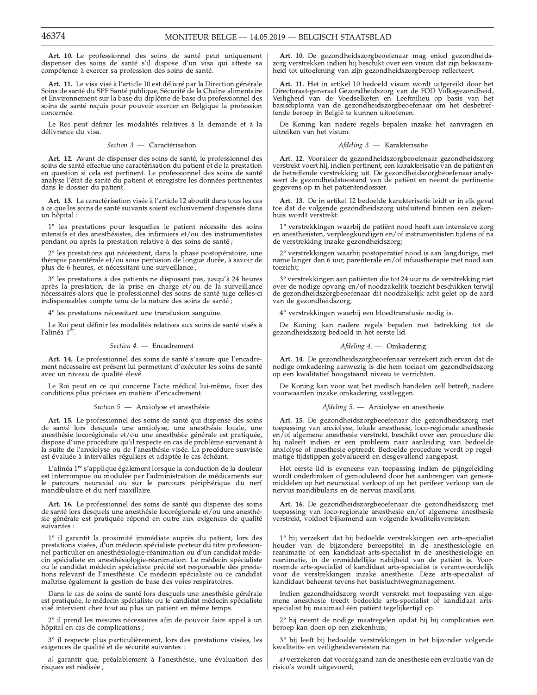Art. 10. Le professionnel des soins de santé peut uniquement dispenser des soins de santé s'il dispose d'un visa qui atteste sa compétence à exercer sa profession des soins de santé.

Art. 11. Le visa visé à l'article 10 est délivré par la Direction générale<br>Soins de santé du SPF Santé publique, Sécurité de la Chaîne alimentaire et Environnement sur la base du diplôme de base du professionnel des soins de santé requis pour pouvoir exercer en Belgique la profession concernée.

Le Roi peut définir les modalités relatives à la demande et à la délivrance du visa.

#### Section 3. - Caractérisation

Art. 12. Avant de dispenser des soins de santé, le professionnel des soins de santé effectue une caractérisation du patient et de la prestation en question si cela est pertinent. Le professionnel des soins de santé analyse l'état de santé du patient et enregistre les données pertinentes dans le dossier du patient.

Art. 13. La caractérisation visée à l'article 12 aboutit dans tous les cas à ce que les soins de santé suivants soient exclusivement dispensés dans un hôpital :

 $1^{\circ}$  les prestations pour les<br>quelles le patient nécessite des soins intensifs et des anesthésistes, des infirmiers et/ou des instrumentistes pendant ou après la prestation relative à des soins de santé ;

2° les prestations qui nécessitent, dans la phase postopératoire, une thérapie parentérale et/ou sous perfusion de longue durée, à savoir de plus de 6 heures, et nécessitant une surveillance;

3° les prestations à des patients ne disposant pas, jusqu'à 24 heures après la prestation, de la prise en charge et/ou de la surveillance nécessaires alors que le professionnel des soins de santé juge celles-ci indispensables compte tenu de la nature des soins de santé;

4° les prestations nécessitant une transfusion sanguine.

Le Roi peut définir les modalités relatives aux soins de santé visés à l'alinéa $1^{\mathrm{er}}.$ 

## Section 4. - Encadrement

Art. 14. Le professionnel des soins de santé s'assure que l'encadrement nécessaire est présent lui permettant d'exécuter les soins de santé avec un niveau de qualité élevé.

Le Roi peut en ce qui concerne l'acte médical lui-même, fixer des conditions plus précises en matière d'encadrement.

#### Section 5. - Anxiolyse et anesthésie

Art. 15. Le professionnel des soins de santé qui dispense des soins de santé lors desquels une anxiolyse, une anesthésie locale, une anesthésie locorégionale et/ou une anesthésie générale est pratiquée, dispose d'une procédure qu'il respecte en cas de problème survenant à la suite de l'anxiolyse ou de l'anesthésie visée. La procédure susvisée est évaluée à intervalles réguliers et adaptée le cas échéant.

L'alinéa 1<sup>er</sup> s'applique également lorsque la conduction de la douleur est interrompue ou modulée par l'administration de médicaments sur le parcours neuraxial ou sur le parcours périphérique du nerf mandibulaire et du nerf maxillaire.

Art. 16. Le professionnel des soins de santé qui dispense des soins de santé lors desquels une anesthésie locorégionale et/ou une anesthésie générale est pratiquée répond en outre aux exigences de qualité suivantes :

1° il garantit la proximité immédiate auprès du patient, lors des prestations visées, d'un médecin spécialiste porteur du titre professionnel particulier en anesthésiologie-réanimation ou d'un candidat médecin spécialiste en anesthésiologie-réanimation. Le médecin spécialiste ou le candidat médecin spécialiste précité est responsable des prestaou constant de l'anesthésie. Ce médecin spécialiste ou ce candidat maîtrise également la gestion de base des voies respiratoires.

Dans le cas de soins de santé lors desquels une anesthésie générale est pratiquée, le médecin spécialiste ou le candidat médecin spécialiste visé intervient chez tout au plus un patient en même temps.

2° il prend les mesures nécessaires afin de pouvoir faire appel à un hôpital en cas de complications ;

3° il respecte plus particulièrement, lors des prestations visées, les exigences de qualité et de sécurité suivantes :

a) garantir que, préalablement à l'anesthésie, une évaluation des risques est réalisée ;

Art. 10. De gezondheidszorgbeoefenaar mag enkel gezondheidszorg verstrekken indien hij beschikt over een visum dat zijn bekwaamheid tot uitoefening van zijn gezondheidszorgberoep reflecteert.

Art. 11. Het in artikel 10 bedoeld visum wordt uitgereikt door het Directoraat-generaal Gezondheidszorg van de FOD Volksgezondheid, Veiligheid van de Voedselketen en Leefmilieu op basis van het basisdiploma van de gezondheidszorgbeoefenaar om het desbetreffende beroep in België te kunnen uitoefenen.

De Koning kan nadere regels bepalen inzake het aanvragen en uitreiken van het visum.

#### Afdeling 3. - Karakterisatie

Art. 12. Vooraleer de gezondheidszorgbeoefenaar gezondheidszorg verstrekt voert hij, indien pertinent, een karakterisatie van de patiënt en de betreffende verstrekking uit. De gezondheidszorgbeoefenaar analyseert de gezondheidstoestand van de patiënt en neemt de pertinente gegevens op in het patiëntendossier.

Art. 13. De in artikel 12 bedoelde karakterisatie leidt er in elk geval toe dat de volgende gezondheidszorg uitsluitend binnen een ziekenhuis wordt verstrekt:

 $1^{\circ}$ verstrekkingen waarbij de patiënt nood heeft aan intensieve zorg en anesthesisten, verpleegkundigen en/of instrumentisten tijdens of na de verstrekking inzake gezondheidszorg;

2° verstrekkingen waarbij postoperatief nood is aan langdurige, met name langer dan 6 uur, parenterale en/of infuustherapie met nood aan toezicht:

3° verstrekkingen aan patiënten die tot 24 uur na de verstrekking niet over de nodige opvang en/of noodzakelijk toezicht beschikken terwijl de gezondheidszorgbeoefenaar dit noodzakelijk acht gelet op de aard van de gezondheidszorg;

4° verstrekkingen waarbij een bloedtransfusie nodig is.

De Koning kan nadere regels bepalen met betrekking tot de gezondheidszorg bedoeld in het eerste lid.

## Afdeling 4. - Omkadering

Art. 14. De gezondheidszorgbeoefenaar verzekert zich ervan dat de ndige omkadering aanwezig is die hem toelaat om gezondheidszorg op een kwalitatief hoogstaand niveau te verrichten.

De Koning kan voor wat het medisch handelen zelf betreft, nadere voorwaarden inzake omkadering vastleggen.

#### Afdeling 5. - Anxiolyse en anesthesie

Art. 15. De gezondheidszorgbeoefenaar die gezondheidszorg met toepassing van anxiolyse, lokale anesthesie, loco-regionale anesthesie en/of algemene anesthesie verstrekt, beschikt over een procedure die the matter of the problem naar aanleiding van bedoelde anxiolyse of anesthesie optreedt. Bedoelde procedure wordt op regel-<br>matige tijdstippen geëvalueerd en desgevallend aangepast.

Het eerste lid is eveneens van toepassing indien de pijngeleiding wordt onderbroken of gemoduleerd door het aanbrengen van geneesmiddelen op het neuraxiaal verloop of op het perifeer verloop van de nervus mandibularis en de nervus maxillaris.

Art. 16. De gezondheidszorgbeoefenaar die gezondheidszorg met toepassing van loco-regionale anesthesie en/of algemene anesthesie verstrekt, voldoet bijkomend aan volgende kwaliteitsvereisten:

 $1^{\circ}$  hij verzekert dat bij bedoelde verstrekkingen een arts-specialist houder van de bijzondere beroepstitel in de anesthesiologie en reanimatie of een kandidaat arts-specialist in de anesthesiologie en reanimatie, in de onmiddellijke nabijheid van de patiënt is. Voornoemde arts-specialist of kandidaat arts-specialist is verantwoordelijk voor de verstrekkingen inzake anesthesie. Deze arts-specialist of kandidaat beheerst tevens het basisluchtwegmanagement.

Indien gezondheidszorg wordt verstrekt met toepassing van algemene anesthesie treedt bedoelde arts-specialist of kandidaat artsspecialist bij maximaal één patiënt tegelijkertijd op.

2° hij neemt de nodige maatregelen opdat hij bij complicaties een beroep kan doen op een ziekenhuis;

 $3^{\circ}$  hij leeft bij bedoelde verstrekkingen in het bijzonder volgende kwaliteits- en veiligheidsvereisten na:

a) verzekeren dat voorafgaand aan de anesthesie een evaluatie van de risico's wordt uitgevoerd;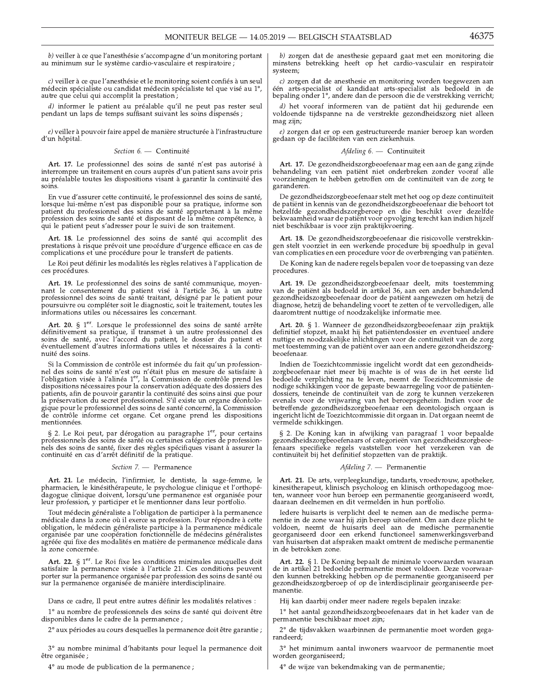b) veiller à ce que l'anesthésie s'accompagne d'un monitoring portant au minimum sur le système cardio-vasculaire et respiratoire ;

c) veiller à ce que l'anesthésie et le monitoring soient confiés à un seul médecin spécialiste ou candidat médecin spécialiste tel que visé au 1°, autre que celui qui accomplit la prestation;

 $d)$  informer le patient au préalable qu'il ne peut pas rester seul pendant un laps de temps suffisant suivant les soins dispensés ;

e) veiller à pouvoir faire appel de manière structurée à l'infrastructure d'un hôpital.

Section 6. - Continuité

Art. 17. Le professionnel des soins de santé n'est pas autorisé à interrompre un traitement en cours auprès d'un patient sans avoir pris<br>au préalable toutes les dispositions visant à garantir la continuité des soins.

En vue d'assurer cette continuité, le professionnel des soins de santé, lorsque lui-même n'est pas disponible pour sa pratique, informe son<br>patient du professionnel des soins de santé appartenant à la même profession des soins de santé et disposant de la même compétence, à qui le patient peut s'adresser pour le suivi de son traitement.

Art. 18. Le professionnel des soins de santé qui accomplit des prestations à risque prévoit une procédure d'urgence efficace en cas de complications et une procédure pour le transfert de patients.

Le Roi peut définir les modalités les règles relatives à l'application de ces procédures.

Art. 19. Le professionnel des soins de santé communique, moyennant le consentement du patient visé à l'article 36, à un autre professionnel des soins de santé traitant, désigné par le patient pour poursuivre ou compléter soit le diagnostic, soit le traitement, toutes les informations utiles ou nécessaires les concernant.

Art. 20. § 1<sup>er</sup>. Lorsque le professionnel des soins de santé arrête définitivement sa pratique, il transmet à un autre professionnel des soins de santé, avec l'accord du patient, le dossier du patient et éventuellement d'autres informations utiles et nécessaires à la continuité des soins.

Si la Commission de contrôle est informée du fait qu'un professionnel des soins de santé n'est ou n'était plus en mesure de satisfaire à l'obligation visée à l'alinéa 1<sup>er</sup>, la Commission de contrôle prend les dispositions nécessaires pour la conservation adéquate des dossiers des patients, afin de pouvoir garantir la continuité des soins ainsi que pour la préservation du secret professionnel. S'il existe un organe déontologique pour le professionnel des soins de santé concerné, la Commission<br>de contrôle informe cet organe. Cet organe prend les dispositions mentionnées.

§ 2. Le Roi peut, par dérogation au paragraphe 1er, pour certains professionnels des soins de santé ou certaines catégories de professionnels des soins de santé, fixer des règles spécifiques visant à assurer la continuité en cas d'arrêt définitif de la pratique.

#### Section 7. - Permanence

Art. 21. Le médecin, l'infirmier, le dentiste, la sage-femme, le pharmacien, le kinésithérapeute, le psychologue clinique et l'orthopé-<br>dagogue clinique doivent, lorsqu'une permanence est organisée pour<br>leur profession, y participer et le mentionner dans leur portfolio.

Tout médecin généraliste a l'obligation de participer à la permanence médicale dans la zone où il exerce sa profession. Pour répondre à cette obligation, le médecin généraliste participe à la permanence médicale organisée par une coopération fonctionnelle de médecins généralistes agréée qui fixe des modalités en matière de permanence médicale dans la zone concernée.

Art. 22. § 1<sup>er</sup>. Le Roi fixe les conditions minimales auxquelles doit satisfaire la permanence visée à l'article 21. Ces conditions peuvent porter sur la permanence organisée par profession des soins de santé ou sur la permanence organisée de manière interdisciplinaire.

Dans ce cadre, Il peut entre autres définir les modalités relatives :

1° au nombre de professionnels des soins de santé qui doivent être disponibles dans le cadre de la permanence ;

2° aux périodes au cours desquelles la permanence doit être garantie ;

3° au nombre minimal d'habitants pour lequel la permanence doit être organisée ;

4° au mode de publication de la permanence ;

b) zorgen dat de anesthesie gepaard gaat met een monitoring die minstens betrekking heeft op het cardio-vasculair en respiratoir systeem;

c) zorgen dat de anesthesie en monitoring worden toegewezen aan één arts-specialist of kandidaat arts-specialist als bedoeld in de bepaling onder 1°, andere dan de persoon die de verstrekking verricht;

d) het vooraf informeren van de patiënt dat hij gedurende een voldoende tijdspanne na de verstrekte gezondheidszorg niet alleen mag zijn;

e) zorgen dat er op een gestructureerde manier beroep kan worden gedaan op de faciliteiten van een ziekenhuis.

#### Afdeling 6. - Continuïteit

Art. 17. De gezondheidszorgbeoefenaar mag een aan de gang zijnde behandeling van een patiënt niet onderbreken zonder vooraf alle<br>voorzieningen te hebben getroffen om de continuïteit van de zorg te garanderen.

 $\,$ De gezondheidszorgbeoefenaar stelt met het oog op deze continuïteit de patiënt in kennis van de gezondheidszorgbeoefenaar die behoort tot hetzelfde gezondheidszorgberoep en die beschikt over dezelfde bekwaamheid waar niet beschikbaar is voor zijn praktijkvoering.

Art. 18. De gezondheidszorgbeoefenaar die risicovolle verstrekkinen stelt voorziet in een werkende procedure bij spoedhulp in geval<br>van complicaties en een procedure voor de overbrenging van patiënten.

De Koning kan de nadere regels bepalen voor de toepassing van deze procedures.

Art. 19. De gezondheidszorgbeoefenaar deelt, mits toestemming van de patiënt als bedoeld in artikel 36, aan een ander behandelend gezondheidszorgbeoefenaar door de patiënt aangewezen om hetzij de diagnose, hetzij de behandeling voort te zetten of te vervolledigen, alle daaromtrent nuttige of noodzakelijke informatie mee.

Art. 20. § 1. Wanneer de gezondheidszorgbeoefenaar zijn praktijk definitief stopzet, maakt hij het patiëntendossier en eventueel andere nuttige en noodzakelijke inlichtingen voor de continuïteit van de zorg met toestemming van de patiënt over aan een andere gezondheidszorgbeoefenaar.

Indien de Toezichtcommissie ingelicht wordt dat een gezondheidszorgbeoefenaar niet meer bij machte is of was de in het eerste lid bedoelde verplichting na te leven, neemt de Toezichtcommissie de nodige schikkingen voor de gepaste bewaarregeling voor de patiëntendossiers, teneinde de continuïteit van de zorg te kunnen verzekeren evenals voor de vrijwaring van het beroepsgeheim. Indien voor de<br>betreffende gezondheidszorgbeoefenaar een deontologisch orgaan is<br>ingericht licht de Toezichtcommissie dit orgaan in. Dat orgaan neemt de vermelde schikkingen.

§ 2. De Koning kan in afwijking van paragraaf 1 voor bepaalde gezondheidszorgbeoefenaars of categorieën van gezondheidszorgbeoefenaars of categorieën van gezondheidszorgbeoefenaars specifieke regels vaststellen voor het verzekeren van de continuïteit bij het definitief stopzetten van de praktijk.

## Afdeling 7. - Permanentie

Art. 21. De arts, verpleegkundige, tandarts, vroedvrouw, apotheker, kinesitherapeut, klinisch psycholoog en klinisch orthopedagoog moeten, wanneer voor hun beroep een permanentie georganiseerd wordt, daaraan deelnemen en dit vermelden in hun portfolio.

Iedere huisarts is verplicht deel te nemen aan de medische permanentie in de zone waar hij zijn beroep uitoefent. Om aan deze plicht te voldoen, neemt de huisarts deel aan de medische permanentie georganiseerd door een erkend functioneel samenwerkingsverband van huisartsen dat afspraken maakt omtrent de medische permanentie in de betrokken zone.

Art. 22. § 1. De Koning bepaalt de minimale voorwaarden waaraan de in artikel 21 bedoelde permanentie moet voldoen. Deze voorwaarden kunnen betrekking hebben op de permanentie georganiseerd per gezondheidszorgberoep of op de interdisciplinair georganiseerde permanentie.

Hij kan daarbij onder meer nadere regels bepalen inzake:

1° het aantal gezondheidszorgbeoefenaars dat in het kader van de permanentie beschikbaar moet zijn;

2° de tijdsvakken waarbinnen de permanentie moet worden gegarandeerd:

3° het minimum aantal inwoners waarvoor de permanentie moet worden georganiseerd;

4° de wijze van bekendmaking van de permanentie;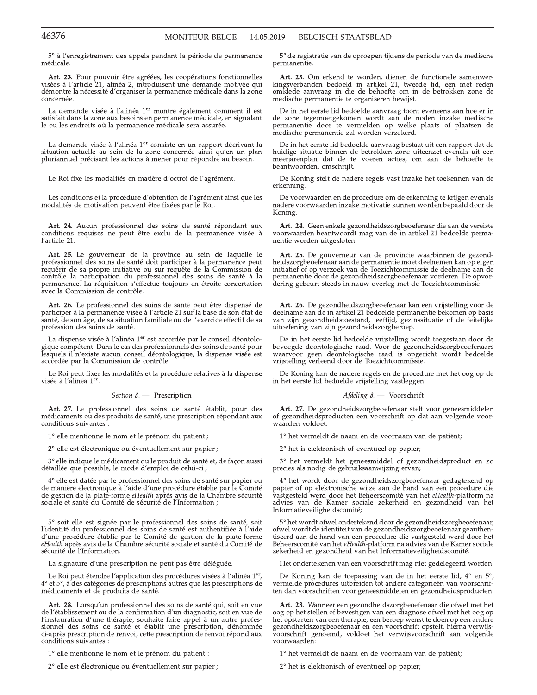5° à l'enregistrement des appels pendant la période de permanence médicale.

Art. 23. Pour pouvoir être agréées, les coopérations fonctionnelles visées à l'article 21, alinéa 2, introduisent une demande motivée qui démontre la nécessité d'organiser la permanence médicale dans la zone concernée.

La demande visée à l'alinéa 1<sup>er</sup> montre également comment il est satisfait dans la zone aux besoins en permanence médicale, en signalant le ou les endroits où la permanence médicale sera assurée.

La demande visée à l'alinéa 1<sup>er</sup> consiste en un rapport décrivant la situation actuelle au sein de la zone concernée ainsi qu'en un plan pluriannuel précisant les actions à mener pour répondre au besoin.

Le Roi fixe les modalités en matière d'octroi de l'agrément.

Les conditions et la procédure d'obtention de l'agrément ainsi que les modalités de motivation peuvent être fixées par le Roi.

Art. 24. Aucun professionnel des soins de santé répondant aux conditions requises ne peut être exclu de la permanence visée à l'article 21.

Art. 25. Le gouverneur de la province au sein de laquelle le professionnel des soins de santé doit participer à la permanence peut requérir de sa propre initiative ou sur requête de la Commission de<br>contrôle la participation du professionnel des soins de santé à la permanence. La réquisition s'effectue toujours en étroite concertation avec la Commission de contrôle.

Art. 26. Le professionnel des soins de santé peut être dispensé de participer à la permanence visée à l'article 21 sur la base de son état de santé, de son âge, de sa situation familiale ou de l'exercice effectif de sa profession des soins de santé.

La dispense visée à l'alinéa 1<sup>er</sup> est accordée par le conseil déontologique compétent. Dans le cas des professionnels des soins de santé pour lesquels il n'existe aucun conseil déontologique, la dispense visée est accordée par la Commission de contrôle.

Le Roi peut fixer les modalités et la procédure relatives à la dispense visée à l'alinéa 1<sup>er</sup>.

Section 8. - Prescription

Art. 27. Le professionnel des soins de santé établit, pour des médicaments ou des produits de santé, une prescription répondant aux conditions suivantes:

1° elle mentionne le nom et le prénom du patient ;

2° elle est électronique ou éventuellement sur papier ;

3° elle indique le médicament ou le produit de santé et, de façon aussi détaillée que possible, le mode d'emploi de celui-ci ;

4° elle est datée par le professionnel des soins de santé sur papier ou de manière électronique à l'aide d'une procédure établie par le Comité de gestion de la plate-forme eHealth après avis de la Chambre sécurité sociale et santé du Comité de sécurité de l'Information ;

5° soit elle est signée par le professionnel des soins de santé, soit l'identité du professionnel des soins de santé est authentifiée à l'aide d'une procédure établie par le Comité de gestion de la plate-forme eHealth après avis de la Chambre sécurité sociale et santé du Comité de sécurité de l'Information.

La signature d'une prescription ne peut pas être déléguée.

Le Roi peut étendre l'application des procédures visées à l'alinéa  $1<sup>er</sup>$ ,  $4<sup>°</sup>$  et  $5<sup>°</sup>$ , à des catégories de prescriptions autres que les prescriptions de médicaments et de produits de santé.

Art. 28. Lorsqu'un professionnel des soins de santé qui, soit en vue de l'établissement ou de la confirmation d'un diagnostic, soit en vue de l'instauration d'une thérapie, souhaite faire appel à un autre professionnel des soins de santé et établit une prescription, dénommée ci-après prescription de renvoi, cette prescription de renvoi répond aux conditions suivantes :

1° elle mentionne le nom et le prénom du patient :

2° elle est électronique ou éventuellement sur papier ;

5° de registratie van de oproepen tijdens de periode van de medische permanentie.

Art. 23. Om erkend te worden, dienen de functionele samenwer-<br>kingsverbanden bedoeld in artikel 21, tweede lid, een met reden omklede aanvraag in die de behoefte om in de betrokken zone de medische permanentie te organiseren bewijst.

De in het eerste lid bedoelde aanvraag toont eveneens aan hoe er in Le zone tegemoetgekomen wordt aan de noden inzake medische permanentie door te vermelden op welke plaats of plaatsen de medische permanentie zal worden verzekerd.

De in het eerste lid bedoelde aanvraag bestaat uit een rapport dat de huidige situatie binnen de betrokken zone uiteenzet evenals uit een meerjarenplan dat de te voeren acties, om aan de behoefte te beantwoorden, omschrijft.

De Koning stelt de nadere regels vast inzake het toekennen van de erkenning.

De voorwaarden en de procedure om de erkenning te krijgen evenals nadere voorwaarden inzake motivatie kunnen worden bepaald door de Koning

Art. 24. Geen enkele gezondheidszorgbeoefenaar die aan de vereiste voorwaarden beantwoordt mag van de in artikel 21 bedoelde permanentie worden uitgesloten.

Art. 25. De gouverneur van de provincie waarbinnen de gezondheidszorgbeoefenaar aan de permanentie moet deelnemen kan op eigen initiatief of op verzoek van de Toezichtcommissie de deelname aan de permanentie door de gezondheidszorgbeoefenaar vorderen. De opvordering gebeurt steeds in nauw overleg met de Toezichtcommissie.

Art. 26. De gezondheidszorgbeoefenaar kan een vrijstelling voor de deelname aan de in artikel 21 bedoelde permanentie bekomen op basis van zijn gezondheidstoestand, leeftijd, gezinssituatie of de feitelijke uitoefening van zijn gezondheidszorgberoep.

De in het eerste lid bedoelde vrijstelling wordt toegestaan door de bevoegde deontologische raad. Voor de gezondheidszorgbeoefenaars waarvoor geen deontologische raad is opgericht wordt bedoelde vrijstelling verleend door de Toezichtcommissie.

De Koning kan de nadere regels en de procedure met het oog op de in het eerste lid bedoelde vrijstelling vastleggen.

Afdeling 8. - Voorschrift

Art. 27. De gezondheidszorgbeoefenaar stelt voor geneesmiddelen of gezondheidsproducten een voorschrift op dat aan volgende voorwaarden voldoet:

1° het vermeldt de naam en de voornaam van de patiënt;

2° het is elektronisch of eventueel op papier;

3° het vermeldt het geneesmiddel of gezondheidsproduct en zo precies als nodig de gebruiksaanwijzing ervan;

4° het wordt door de gezondheidszorgbeoefenaar gedagtekend op papier of op elektronische wijze aan de hand van een procedure die vastgesteld werd door het Beheerscomité van het eHealth-platform na advies van de Kamer sociale zekerheid en gezondheid van het Informatieveiligheidscomité;

5° het wordt ofwel ondertekend door de gezondheidszorgbeoefenaar, ofwel wordt de identiteit van de gezondheidszorgbeoefenaar geauthentiseerd aan de hand van een procedure die vastgesteld werd door het Beheerscomité van het eHealth-platform na advies van de Kamer sociale zekerheid en gezondheid van het Informatieveiligheidscomité.

Het ondertekenen van een voorschrift mag niet gedelegeerd worden.

De Koning kan de toepassing van de in het eerste lid, 4° en 5°, vermelde procedures uitbreiden tot andere categorieën van voorschriften dan voorschriften voor geneesmiddelen en gezondheidsproducten.

Art. 28. Wanneer een gezondheidszorgbeoefenaar die ofwel met het oog op het stellen of bevestigen van een diagnose ofwel met het oog op het opstarten van een therapie, een beroep wenst te doen op een andere gezondheidszorgbeoefenaar en een voorschrift opstelt, hierna verwijsoorschrift genoemd, voldoet het verwijsvoorschrift aan volgende voorwaarden:

1° het vermeldt de naam en de voornaam van de patiënt;

2° het is elektronisch of eventueel op papier;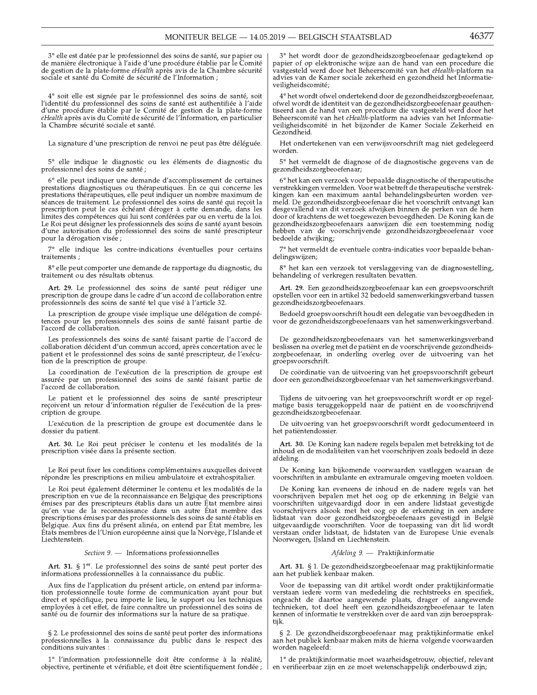3° elle est datée par le professionnel des soins de santé, sur papier ou de manière électronique à l'aide d'une procédure établie par le Comité de gestion de la plate-forme *eHealth* après avis de la Chambre sécurité sociale et santé du Comité de sécurité de l'Information ;

4° soit elle est signée par le professionnel des soins de santé, soit l'identité du professionnel des soins de santé est authentifiée à l'aide d'une procédure établie par le Comité de gestion de la plate-forme eHealth après avis du Comité de sécurité de l'Information, en particulier la Chambre sécurité sociale et santé.

La signature d'une prescription de renvoi ne peut pas être déléguée.

5° elle indique le diagnostic ou les éléments de diagnostic du professionnel des soins de santé ;

6° elle peut indiquer une demande d'accomplissement de certaines prestations diagnostiques ou thérapeutiques. En ce qui concerne les prestations thérapeutiques, elle peut indiquer un nombre maximum de<br>séances de traitement. Le professionnel des soins de santé qui reçoit la prescription peut le cas échéant déroger à cette demande, dans les limites des compétences qui lui sont conférées par ou en vertu de la loi. Le Roi peut désigner les professionnels des soins de santé ayant besoin d'une autorisation du professionnel des soins de santé prescripteur pour la dérogation visée ;

7° elle indique les contre-indications éventuelles pour certains traitements;

8° elle peut comporter une demande de rapportage du diagnostic, du traitement ou des résultats obtenus.

Art. 29. Le professionnel des soins de santé peut rédiger une prescription de groupe dans le cadre d'un accord de collaboration entre professionnels des soins de santé tel que visé à l'article 32.

La prescription de groupe visée implique une délégation de compétences pour les professionnels des soins de santé faisant partie de l'accord de collaboration.

Les professionnels des soins de santé faisant partie de l'accord de collaboration décident d'un commun accord, après concertation avec le patient et le professionnel des soins de santé prescripteur, de l'exécution de la prescription de groupe.

La coordination de l'exécution de la prescription de groupe est assurée par un professionnel des soins de santé faisant partie de<br>l'accord de collaboration.

Le patient et le professionnel des soins de santé prescripteur reçoivent un retour d'information régulier de l'exécution de la prescription de groupe.

L'exécution de la prescription de groupe est documentée dans le dossier du patient.

Art. 30. Le Roi peut préciser le contenu et les modalités de la prescription visée dans la présente section.

Le Roi peut fixer les conditions complémentaires auxquelles doivent répondre les prescriptions en milieu ambulatoire et extrahospitalier.

Le Roi peut également déterminer le contenu et les modalités de la prescription en vue de la reconnaissance en Belgique des prescriptions émises par des prescripteurs établis dans un autre État membre ainsi qu'en vue de la reconnaissance dans un autre État membre des rescriptions émises par des professionnels des soins de santé établis en Belgique. Aux fins du présent alinéa, on entend par État membre, les États membres de l'Union européenne ainsi que la Norvège, l'Islande et Liechtenstein.

#### Section 9. - Informations professionnelles

Art. 31. § 1<sup>er</sup>. Le professionnel des soins de santé peut porter des informations professionnelles à la connaissance du public.

Aux fins de l'application du présent article, on entend par information professionnelle toute forme de communication ayant pour but direct et spécifique, peu importe le lieu, le support ou les techniques employées à cet effet, de faire connaître un professionnel des soins de santé ou de fournir des informations sur la nature de sa pratique.

§ 2. Le professionnel des soins de santé peut porter des informations professionnelles à la connaissance du public dans le respect des conditions suivantes :

1º l'information professionnelle doit être conforme à la réalité, objective, pertinente et vérifiable, et doit être scientifiquement fondée ;  $3^{\circ}$  het wordt door de gezondheidszorgbeoefenaar gedagtekend op papier of op elektronische wijze aan de hand van een procedure die vastgesteld werd door het Beheerscomité van het eHealth-platform na advies van de Kamer sociale zekerheid en gezondheid het Informatieveiligheidscomité;

4° het wordt ofwel ondertekend door de gezondheidszorgbeoefenaar, ofwel wordt de identiteit van de gezondheidszorgbeoefenaar geauthentisserd aan de hand van een procedure die vastgesteld werd door het Beheerscomité van het *eHealth*-platform na advies van het Informatieveiligheidscomité in het bijzonder de Kamer Sociale Zekerheid en Gezondheid.

Het ondertekenen van een verwijsvoorschrift mag niet gedelegeerd worden.

5° het vermeldt de diagnose of de diagnostische gegevens van de gezondheidszorgbeoefenaar;

6° het kan een verzoek voor bepaalde diagnostische of therapeutische verstrekkingen vermelden. Voor wat betreft de therapeutische verstrekkingen kan een maximum aantal behandelingsbeurten worden vermeld. De gezondheidszorgbeoefenaar die het voorschrift ontvangt kan desgevallend van dit verzoek afwijken binnen de perken van de hem door of krachtens de wet toegewezen bevoegdheden. De Koning kan de gezondheidszorgbeoefenaars aanwijzen die een toestemming nodig hebben van de voorschrijvende gezondheidszorgbeoefenaar voor bedoelde afwijking;

7° het vermeldt de eventuele contra-indicaties voor bepaalde behandelingswijzen;

8° het kan een verzoek tot verslaggeving van de diagnosestelling, behandeling of verkregen resultaten bevatten.

Art. 29. Een gezondheidszorgbeoefenaar kan een groepsvoorschrift opstellen voor een in artikel 32 bedoeld samenwerkingsverband tussen gezondheidszorgbeoefenaars.

Bedoeld groepsvoorschrift houdt een delegatie van bevoegdheden in voor de gezondheidszorgbeoefenaars van het samenwerkingsverband.

De gezondheidszorgbeoefenaars van het samenwerkingsverband beslissen na overleg met de patiënt en de voorschrijvende gezondheidszorgbeoefenaar, in onderling overleg over de uitvoering van het groepsvoorschrift.

De coördinatie van de uitvoering van het groepsvoorschrift gebeurt door een gezondheidszorgbeoefenaar van het samenwerkingsverband.

Tijdens de uitvoering van het groepsvoorschrift wordt er op regelmatige basis teruggekoppeld naar de patiënt en de voorschrijvend gezondheidszorgbeoefenaar.

De uitvoering van het groepsvoorschrift wordt gedocumenteerd in het patiëntendossier.

Art. 30. De Koning kan nadere regels bepalen met betrekking tot de inhoud en de modaliteiten van het voorschrijven zoals bedoeld in deze afdeling.

De Koning kan bijkomende voorwaarden vastleggen waaraan de voorschriften in ambulante en extramurale omgeving moeten voldoen.

De Koning kan eveneens de inhoud en de nadere regels van het voorschrijven bepalen met het oog op de erkenning in België van voorschrijfen uitgevaardigd door in een andere lidstaat gevestigde voorschrijvers alsook met het oog op de erkenning in een andere lidstaat van door gezondheidszorgbeoefenaars gevestigd in België uitgevaardigde voorschriften. Voor de toepassing van dit lid wordt verstaan onder lidstaat, de lidstaten van de Europese Unie evenals Noorwegen, IJsland en Liechtenstein.

#### Afdeling 9. - Praktijkinformatie

Art. 31. § 1. De gezondheidszorgbeoefenaar mag praktijkinformatie aan het publiek kenbaar maken.

Voor de toepassing van dit artikel wordt onder praktijkinformatie verstaan iedere vorm van mededeling die rechtstreeks en specifiek, ongeacht de daartoe aangewende plaats, drager of aangewende technieken, tot doel heeft een gezondheidszorgbeoefenaar te laten<br>kennen of informatie te verstrekken over de aard van zijn beroepspraktiik.

§ 2. De gezondheidszorgbeoefenaar mag praktijkinformatie enkel aan het publiek kenbaar maken mits de hierna volgende voorwaarden worden nageleefd:

1° de praktijkinformatie moet waarheidsgetrouw, objectief, relevant en verifieerbaar zijn en ze moet wetenschappelijk onderbouwd zijn;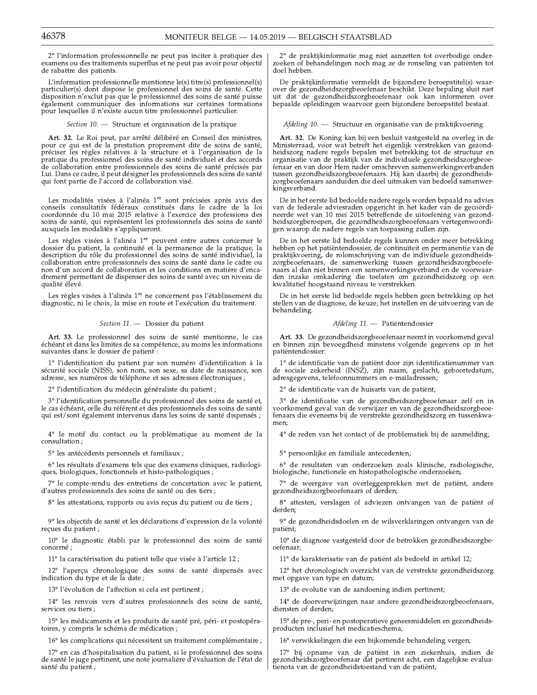2° l'information professionnelle ne peut pas inciter à pratiquer des examens ou des traitements superflus et ne peut pas avoir pour objectif de rabattre des patients.

L'information professionnelle mentionne le(s) titre(s) professionnel(s) particulier(s) dont dispose le professionnel des soins de santé. Cette disposition n'exclut pas que le professionnel des soins de santé puisse également communiquer des informations sur certaines formations pour lesquelles il n'existe aucun titre professionnel particulier.

Section 10. - Structure et organisation de la pratique

Art. 32. Le Roi peut, par arrêté délibéré en Conseil des ministres, pour ce qui est de la prestation proprement dite de soins de santé, préciser les règles relatives à la structure et à l'organisation de la pratique du professionnel des soins de santé individuel et des accords de collaboration entre professionnels des soins de santé précisés par Lui. Dans ce cadre, il peut désigner les professionnels des soins de santé qui font partie de l'accord de collaboration visé.

Les modalités visées à l'alinéa 1<sup>er</sup> sont précisées après avis des conseils consultatifs fédéraux constitués dans le cadre de la loi coordonnée du 10 mai 2015 relative à l'exercice des professions des soins de santé, qui représentent les professionnels des soins de santé auxquels les modalités s'appliqueront.

Les règles visées à l'alinéa 1<sup>er</sup> peuvent entre autres concerner le dossier du patient, la continuité et la permanence de la pratique, la description du rôle du professionnel des soins de santé individuel, la<br>collaboration entre professionnels des soins de santé dans le cadre ou non d'un accord de collaboration et les conditions en matière d'encadrement permettant de dispenser des soins de santé avec un niveau de qualité élevé.

Les règles visées à l'alinéa 1<sup>er</sup> ne concernent pas l'établissement du diagnostic, ni le choix, la mise en route et l'exécution du traitement.

## Section 11. - Dossier du patient

Art. 33. Le professionnel des soins de santé mentionne, le cas échéant et dans les limites de sa compétence, au moins les informations suivantes dans le dossier de patient :

1º l'identification du patient par son numéro d'identification à la sécurité sociale (NISS), son nom, son sexe, sa date de naissance, son adresse, ses numéros de téléphone et ses adresses électroniques ;

2º l'identification du médecin généraliste du patient ;

3° l'identification personnelle du professionnel des soins de santé et, le cas échéant, celle du référent et des professionnels des soins de santé qui est/sont également intervenus dans les soins de santé dispensés ;

4° le motif du contact ou la problématique au moment de la consultation;

5° les antécédents personnels et familiaux ;

6° les résultats d'examens tels que des examens cliniques, radiologiques, biologiques, fonctionnels et histo-pathologiques ;

7° le compte-rendu des entretiens de concertation avec le patient, d'autres professionnels des soins de santé ou des tiers ;

8° les attestations, rapports ou avis reçus du patient ou de tiers ;

9° les objectifs de santé et les déclarations d'expression de la volonté reçues du patient ;

10° le diagnostic établi par le professionnel des soins de santé concerné;

11° la caractérisation du patient telle que visée à l'article 12 ;

12° l'aperçu chronologique des soins de santé dispensés avec indication du type et de la date ;

13° l'évolution de l'affection si cela est pertinent ;

14° les renvois vers d'autres professionnels des soins de santé, services ou tiers;

15° les médicaments et les produits de santé pré, péri- et postopératoires, y compris le schéma de médication ;

16° les complications qui nécessitent un traitement complémentaire ;

17° en cas d'hospitalisation du patient, si le professionnel des soins de santé le juge pertinent, une note journalière d'évaluation de l'état de santé du patient;

2° de praktijkinformatie mag niet aanzetten tot overbodige onderzoeken of behandelingen noch mag ze de ronseling van patiënten tot doel hebben.

De praktijkinformatie vermeldt de bijzondere beroepstitel(s) waarover de gezondheidszorgbeoefenaar beschikt. Deze bepaling sluit niet uit dat de gezondheidszorgbeoefenaar ook kan informeren over bepaalde opleidingen waarvoor geen bijzondere beroepstitel bestaat.

Afdeling 10. - Structuur en organisatie van de praktijkvoering

Art. 32. De Koning kan bij een besluit vastgesteld na overleg in de Ministerraad, voor wat betreft het eigenlijk verstrekken van gezondheidszorg nadere regels bepalen met betrekking tot de structuur en organisatie van de praktijk van de individuele gezondheidszorgbeoefenaar en van door Hem nader omschreven samenwerkingsverbanden Finanti en van door Tenri mader. Omsdere verbaarden gezondheids-<br>zorgbeoefenaars. Hij kan daarbij de gezondheids-<br>zorgbeoefenaars aanduiden die deel uitmaken van bedoeld samenwerkingsverband.

De in het eerste lid bedoelde nadere regels worden bepaald na advies van de federale adviesraden opgericht in het kader van de gecoördi neerde wet van 10 mei 2015 betreffende de uitoefening van gezondheidszorgberoepen, die gezondheidszorgbeoefenaars vertegenwoordigen waarop de nadere regels van toepassing zullen zijn.

De in het eerste lid bedoelde regels kunnen onder meer betrekking hebben op het patiëntendossier, de continuïteit en permanentie van de praktijkvoering, de rolomschrijving van de individuele gezondheidszorgbeoefenaars, de samenwerking tussen gezondheidszorgbeoefenaars al dan niet binnen een samenwerkingsverband en de voorwaarden inzake omkadering die toelaten om gezondheidszorg op een kwalitatief hoogstaand niveau te verstrekken.

De in het eerste lid bedoelde regels hebben geen betrekking op het stellen van de diagnose, de keuze, het instellen en de uitvoering van de behandeling.

## Afdeling 11. - Patiëntendossier

Art. 33. De gezondheidszorgbeoefenaar neemt in voorkomend geval en binnen zijn bevoegdheid minstens volgende gegevens op in het patiëntendossier:

 $1^{\circ}$  de identificatie van de patiënt door zijn identificatie<br/>nummer van de sociale zekerheid (INSZ), zijn naam, geslacht, geboorte<br/>datum, adresgegevens, telefoonnummers en e-mailadressen;

2° de identificatie van de huisarts van de patiënt;

3° de identificatie van de gezondheidszorgbeoefenaar zelf en in voorkomend geval van de verwijzer en van de gezondheidszorgbeoe-<br>fenaars die eveneens bij de verstrekte gezondheidszorg en tussenkwamen:

4° de reden van het contact of de problematiek bij de aanmelding;

5° persoonlijke en familiale antecedenten;

6° de resultaten van onderzoeken zoals klinische, radiologische, biologische, functionele en histopathologische onderzoeken;

7° de weergave van overleggesprekken met de patiënt, andere gezondheidszorgbeoefenaars of derden;

8° attesten, verslagen of adviezen ontvangen van de patiënt of derden:

9° de gezondheidsdoelen en de wilsverklaringen ontvangen van de patiënt;

 $10^{\circ}$ de diagnose vastgesteld door de betrokken gezondheidszorgbeoefenaar;

11° de karakterisatie van de patiënt als bedoeld in artikel 12;

12° het chronologisch overzicht van de verstrekte gezondheidszorg met opgave van type en datum;

13° de evolutie van de aandoening indien pertinent;

14° de doorverwijzingen naar andere gezondheidszorgbeoefenaars, diensten of derden;

15° de pre-, peri- en postoperatieve geneesmiddelen en gezondheids-<br>producten inclusief het medicatieschema;

16° verwikkelingen die een bijkomende behandeling vergen;

17° bij opname van de patiënt in een ziekenhuis, indien de gezondheidszorgbeoefenaar dat pertinent acht, een dagelijkse evaluaenota van de gezondheidstoestand van de patiënt;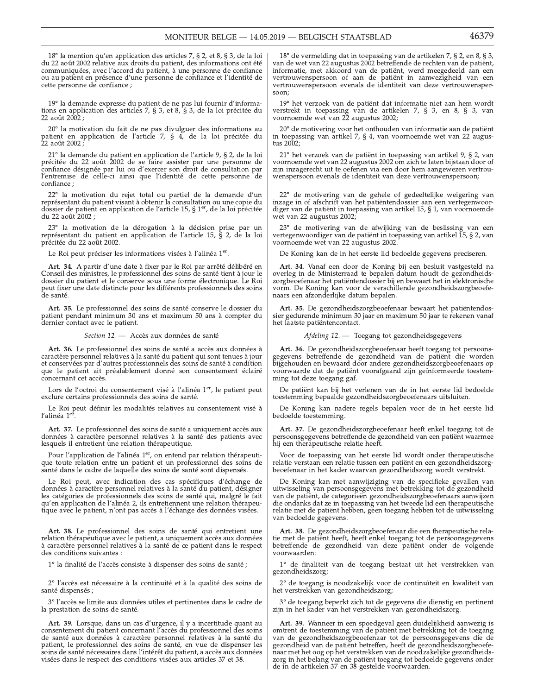18° la mention qu'en application des articles 7, § 2, et 8, § 3, de la loi du 22 août 2002 relative aux droits du patient, des informations ont été communiquées, avec l'accord du patient, à une personne de confiance ou au patient en présence d'une personne de confiance et l'identité de cette personne de confiance ;

19° la demande expresse du patient de ne pas lui fournir d'informations en application des articles 7, § 3, et 8, § 3, de la loi précitée du 22 août 2002;

20° la motivation du fait de ne pas divulguer des informations au patient en application de l'article 7, § 4, de la loi précitée du ,<br>22 août 2002 ;

21<sup>°</sup> la demande du patient en application de l'article 9, § 2, de la loi précitée du 22 août 2002 de se faire assister par une personne de confiance désignée par lui ou d'exercer son droit de consultation par l'entremise de celle-ci ainsi que l'identité de cette personne de confiance:

22° la motivation du rejet total ou partiel de la demande d'un représentant du patient visant à obtenir la consultation ou une copie du dossier de patient en application de l'article 15, § 1<sup>er</sup>, de la loi précitée du 22 août<sup>5</sup>2002;

23° la motivation de la dérogation à la décision prise par un représentant du patient en application de l'article 15, § 2, de la loi précitée du 22 août 2002.

Le Roi peut préciser les informations visées à l'alinéa 1<sup>er</sup>.

Art. 34. A partir d'une date à fixer par le Roi par arrêté délibéré en Conseil des ministres, le professionnel des soins de santé tient à jour le dossier du patient et le conserve sous une forme électronique. Le Roi peut fixer une date distincte pour les différents professionnels des soins de santé.

Art. 35. Le professionnel des soins de santé conserve le dossier du patient pendant minimum 30 ans et maximum 50 ans à compter du dernier contact avec le patient.

Section 12. - Accès aux données de santé

Art. 36. Le professionnel des soins de santé a accès aux données à caractère personnel relatives à la santé du patient qui sont tenues à jour et conservées par d'autres professionnels des soins de santé à condition que le patient ait préalablement donné son consentement éclairé concernant cet accès.

Lors de l'octroi du consentement visé à l'alinéa 1<sup>er</sup>, le patient peut exclure certains professionnels des soins de santé.

Le Roi peut définir les modalités relatives au consentement visé à l'alinéa $1^{\mathrm{ef}}.$ 

Art. 37. Le professionnel des soins de santé a uniquement accès aux données à caractère personnel relatives à la santé des patients avec lesquels il entretient une relation thérapeutique.

Pour l'application de l'alinéa 1er, on entend par relation thérapeutique toute relation entre un patient et un professionnel des soins de<br>santé dans le cadre de laquelle des soins de santé sont dispensés.

Le Roi peut, avec indication des cas spécifiques d'échange de données à caractère personnel relatives à la santé du patient, désigner les catégories de professionnels des soins de santé qui, malgré le fait qu'en application de l'alinéa 2, ils entretiennent une relation thérapeutique avec le patient, n'ont pas accès à l'échange des données visées.

Art. 38. Le professionnel des soins de santé qui entretient une relation thérapeutique avec le patient, a uniquement accès aux données à caractère personnel relatives à la santé de ce patient dans le respect des conditions suivantes :

1º la finalité de l'accès consiste à dispenser des soins de santé ;

2° l'accès est nécessaire à la continuité et à la qualité des soins de santé dispensés;

3° l'accès se limite aux données utiles et pertinentes dans le cadre de la prestation de soins de santé.

Art. 39. Lorsque, dans un cas d'urgence, il y a incertitude quant au consentement du patient concernant l'accès du professionnel des soins de santé aux données à caractère personnel relatives à la santé du patient, le professionnel des soins de santé, en vue de dispenser les soins de santé nécessaires dans l'intérêt du patient, a accès aux données visées dans le respect des conditions visées aux articles 37 et 38.

18° de vermelding dat in toepassing van de artikelen 7, § 2, en 8, § 3, van de wet van 22 augustus 2002 betreffende de rechten van de patient, informatie, met akkoord van de patiënt, werd meegedeeld aan een vertrouwenspersoon of aan de patiënt in aanwezigheid van een vertrouwenspersoon evenals de identiteit van deze vertrouwenspersoon:

19° het verzoek van de patiënt dat informatie niet aan hem wordt verstrekt in toepassing van de artikelen 7, § 3, en 8, § 3, van<br>voornoemde wet van 22 augustus 2002;

20° de motivering voor het onthouden van informatie aan de patiënt in toepassing van artikel 7,  $\S$  4, van voornoemde wet van 22 augustus 2002;

21° het verzoek van de patiënt in toepassing van artikel 9, § 2, van voornoemde wet van 22 augustus 2002 om zich te laten bijstaan door of zijn inzagerecht uit te oefenen via een door hem aangewezen vertrouwenspersoon evenals de identiteit van deze vertrouwenspersoon;

22° de motivering van de gehele of gedeeltelijke weigering van inzage in of afschrift van het patiëntendossier aan een vertegenwoordiger van de patiënt in toepassing van artikel 15, § 1, van voornoemde wet van 22 augustus 2002;

23° de motivering van de afwijking van de beslissing van een vertegenwoordiger van de patiënt in toepassing van artikel 15, § 2, van voornoemde wet van 22 augustus 2002.

De Koning kan de in het eerste lid bedoelde gegevens preciseren.

Art. 34. Vanaf een door de Koning bij een besluit vastgesteld na overleg in de Ministerraad te bepalen datum houdt de gezondheidszorgbeoefenaar het patiëntendossier bij en bewaart het in elektronische vorm. De Koning kan voor de verschillende gezondheidszorgbeoefenaars een afzonderlijke datum bepalen.

Art. 35. De gezondheidszorgbeoefenaar bewaart het patiëntendossier gedurende minimum 30 jaar en maximum 50 jaar te rekenen vanaf het laatste patiëntencontact.

 $A<sub>f</sub>deling 12.$  Toegang tot gezondheidsgegevens

Art. 36. De gezondheidszorgbeoefenaar heeft toegang tot persoonsran von Detreffende de gezondheid van de patiënt die worden<br>bijgehouden en bewaard door andere gezondheidszorgbeoefenaars op voorwaarde dat de patiënt voorafgaand zijn geïnformeerde toestemming tot deze toegang gaf.

De patiënt kan bij het verlenen van de in het eerste lid bedoelde toestemming bepaalde gezondheidszorgbeoefenaars uitsluiten.

De Koning kan nadere regels bepalen voor de in het eerste lid bedoelde toestemming.

Art. 37. De gezondheidszorgbeoefenaar heeft enkel toegang tot de bersoonsgegevens betreffende de gezondheid van een patiënt waarmee hij een therapeutische relatie heeft.

Voor de toepassing van het eerste lid wordt onder therapeutische relatie verstaan een relatie tussen een patiënt en een gezondheidszorgbeoefenaar in het kader waarvan gezondheidszorg wordt verstrekt.

De Koning kan met aanwijziging van de specifieke gevallen van uitwisseling van persoonsgegevens met betrekking tot de gezondheid van de patiënt, de categorieën gezondheidszorgbeoefenaars aanwijzen die ondanks dat ze in toepassing van het tweede lid een therapeutische relatie met de patiënt hebben, geen toegang hebben tot de uitwisseling van bedoelde gegevens.

Art. 38. De gezondheidszorgbeoefenaar die een therapeutische relatie met de patient heeft, heeft enkel toegang tot de persoonsgegevens betreffende de gezondheid van deze patiënt onder de volgende voorwaarden:

1° de finaliteit van de toegang bestaat uit het verstrekken van gezondheidszorg;

2° de toegang is noodzakelijk voor de continuïteit en kwaliteit van het verstrekken van gezondheidszorg;

3° de toegang beperkt zich tot de gegevens die dienstig en pertinent zijn in het kader van het verstrekken van gezondheidszorg.

Art. 39. Wanneer in een spoedgeval geen duidelijkheid aanwezig is omtrent de toestemming van de patiënt met betrekking tot de toegang van de gezondheidszorgbeoefenaar tot de persoonsgegevens die de gezondheid van de patiënt betreffen, heeft de gezondheidszorgbeoefenaar met het oog op het verstrekken van de noodzakelijke gezondheidszorg in het belang van de patiënt toegang tot bedoelde gegevens onder de in de artikelen 37 en 38 gestelde voorwaarden.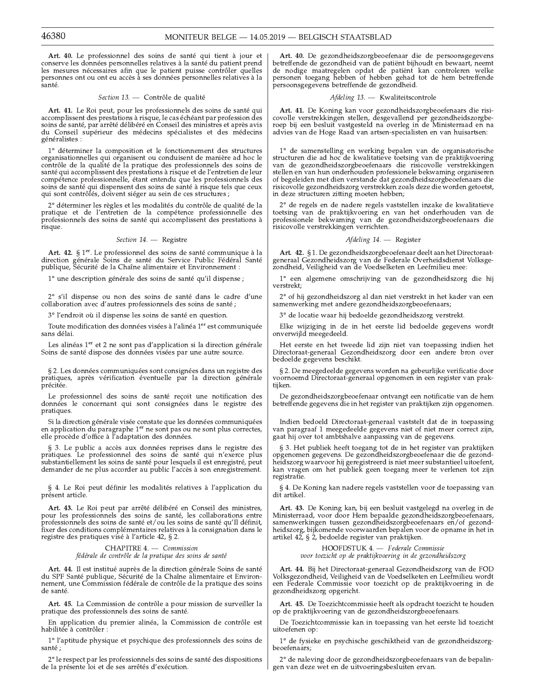Art. 40. Le professionnel des soins de santé qui tient à jour et conserve les données personnelles relatives à la santé du patient prend les mesures nécessaires afin que le patient puisse contrôler quelles personnes ont ou ont eu accès à ses données personnelles relatives à la santé.

## Section 13. - Contrôle de qualité

Art. 41. Le Roi peut, pour les professionnels des soins de santé qui accomplissent des prestations à risque, le cas échéant par profession des soins de santé, par arrêté délibéré en Conseil des ministres et après avis du Conseil supérieur des médecins spécialistes et des médecins généralistes :

1° déterminer la composition et le fonctionnement des structures organisationnelles qui organisent ou conduisent de manière ad hoc le contrôle de la qualité de la pratique des professionnels des soins de santé qui accomplissent des prestations à risque et de l'entretien de leur compétence professionnelle, étant entendu que les professionnels des soins de santé qui dispensent des soins de santé à risque tels que ceux qui sont contrôlés, doivent siéger au sein de ces structures ;

2° déterminer les règles et les modalités du contrôle de qualité de la pratique et de l'entretien de la compétence professionnelle des professionnels des soins de santé qui accomplissent des prestations à risque.

Section 14. - Registre

Art. 42. § 1<sup>er</sup>. Le professionnel des soins de santé communique à la rica de Soins de santé du Service Public Fédéral Santé<br>publique, Sécurité de la Chaîne alimentaire et Environnement :

1° une description générale des soins de santé qu'il dispense ;

2° s'il dispense ou non des soins de santé dans le cadre d'une collaboration avec d'autres professionnels des soins de santé ;

3° l'endroit où il dispense les soins de santé en question.

Toute modification des données visées à l'alinéa 1<sup>er</sup> est communiquée sans délai.

Les alinéas 1<sup>er</sup> et 2 ne sont pas d'application si la direction générale Soins de santé dispose des données visées par une autre source.

§ 2. Les données communiquées sont consignées dans un registre des pratiques, après vérification éventuelle par la direction générale précitée.

Le professionnel des soins de santé reçoit une notification des données le concernant qui sont consignées dans le registre des pratiques

Si la direction générale visée constate que les données communiquées en application du paragraphe  $1<sup>er</sup>$ ne sont pas ou ne sont plus correctes, elle procède d'office à l'adaptation des données.

§ 3. Le public a accès aux données reprises dans le registre des pratiques. Le professionnel des soins de santé qui n'exerce plus substantiellement les soins de santé pour lesquels il est enregistré, peut demander de ne plus accorder au public l'accès à son enregistrement.

§ 4. Le Roi peut définir les modalités relatives à l'application du présent article.

Art. 43. Le Roi peut par arrêté délibéré en Conseil des ministres, pour les professionnels des soins de santé, les collaborations entre professionnels des soins de santé et/ou les soins de santé qu'Il définit, fixer des conditions complémentaires relatives à la consignation dans le registre des pratiques visé à l'article 42, § 2.

> CHAPITRE 4. - Commission fédérale de contrôle de la pratique des soins de santé

Art. 44. Il est institué auprès de la direction générale Soins de santé du SPF Santé publique, Sécurité de la Chaîne alimentaire et Environnement, une Commission fédérale de contrôle de la pratique des soins de santé.

Art. 45. La Commission de contrôle a pour mission de surveiller la pratique des professionnels des soins de santé.

En application du premier alinéa, la Commission de contrôle est habilitée à contrôler

1° l'aptitude physique et psychique des professionnels des soins de santé;

2° le respect par les professionnels des soins de santé des dispositions de la présente loi et de ses arrêtés d'exécution.

Art. 40. De gezondheidszorgbeoefenaar die de persoonsgegevens betreffende de gezondheid van de patiënt bijhoudt en bewaart, neemt de nodige maatregelen opdat de patiënt kan controleren welke personen toegang hebben of hebben gehad tot de hem betreffende persoonsgegevens betreffende de gezondheid.

## Afdeling 13. - Kwaliteitscontrole

Art. 41. De Koning kan voor gezondheidszorgbeoefenaars die risicovolle verstrekkingen stellen, desgevallend per gezondheidszorgberoep bij een besluit vastgesteld na overleg in de Ministerraad en na advies van de Hoge Raad van artsen-specialisten en van huisartsen:

 $1^{\circ}$ de samenstelling en werking bepalen van de organisatorische structuren die ad hoc de kwalitatieve toetsing van de praktijkvoering van de gezondheidszorgbeoefenaars die risicovolle verstrekkingen stellen en van hun onderhouden professionele bekwaming organiseren of begeleiden met dien verstande dat gezondheidszorgbeoefenaars die risicovolle gezondheidszorg verstrekken zoals deze die worden getoetst, in deze structuren zitting moeten hebben;

2° de regels en de nadere regels vaststellen inzake de kwalitatieve toetsing van de praktijkvoering en van het onderhouden van de professionele bekwaming van de gezondheidszorgbeoefenaars die risicovolle verstrekkingen verrichten.

## Afdeling 14. - Register

Art. 42. § 1. De gezondheidszorgbeoefenaar deelt aan het Directoraatgeneraal Gezondheidszorg van de Federale Overheidsdienst Volksgezondheid, Veiligheid van de Voedselketen en Leefmilieu mee:

1° een algemene omschrijving van de gezondheidszorg die hij verstrekt:

2° of hij gezondheidszorg al dan niet verstrekt in het kader van een samenwerking met andere gezondheidszorgbeoefenaars;

3° de locatie waar hij bedoelde gezondheidszorg verstrekt.

Elke wijziging in de in het eerste lid bedoelde gegevens wordt onverwijld meegedeeld.

Het eerste en het tweede lid zijn niet van toepassing indien het Directoraat-generaal Gezondheidszorg door een andere bron over bedoelde gegevens beschikt.

§ 2. De meegedeelde gegevens worden na gebeurlijke verificatie door voornoemd Directoraat-generaal opgenomen in een register van praktijken.

De gezondheidszorgbeoefenaar ontvangt een notificatie van de hem betreffende gegevens die in het register van praktijken zijn opgenomen.

Indien bedoeld Directoraat-generaal vaststelt dat de in toepassing van paragraaf 1 meegedeelde gegevens niet of niet meer correct zijn, gaat hij over tot ambtshalve aanpassing van de gegevens.

§ 3. Het publiek heeft toegang tot de in het register van praktijken opgenomen gegevens. De gezondheidszorgbeoefenaar die de gezondheidszorg waarvoor hij geregistreerd is niet meer substantieel uitoefent, kan vragen om het publiek geen toegang meer te verlenen tot zijn registratie.

§ 4. De Koning kan nadere regels vaststellen voor de toepassing van dit artikel.

Art. 43. De Koning kan, bij een besluit vastgelegd na overleg in de Ministerraad, voor door Hem bepaalde gezondheidszorgbeoefenaars, samenwerkingen tussen gezondheidszorgbeoefenaars en/of gezondheidszorg, bijkomende voorwaarden bepalen voor de opname in het in artikel 42, § 2, bedoelde register van praktijken.

> HOOFDSTUK 4. - Federale Commissie voor toezicht op de praktijkvoering in de gezondheidszorg

Art. 44. Bij het Directoraat-generaal Gezondheidszorg van de FOD Volksgezondheid, Veiligheid van de Voedselketen en Leefmilieu wordt een Federale Commissie voor toezicht op de praktijkvoering in de gezondheidszorg opgericht.

Art. 45. De Toezichtcommissie heeft als opdracht toezicht te houden op de praktijkvoering van de gezondheidszorgbeoefenaars.

De Toezichtcommissie kan in toepassing van het eerste lid toezicht uitoefenen op:

1° de fysieke en psychische geschiktheid van de gezondheidszorgbeoefenaars

2° de naleving door de gezondheidszorgbeoefenaars van de bepalingen van deze wet en de uitvoeringsbesluiten ervan.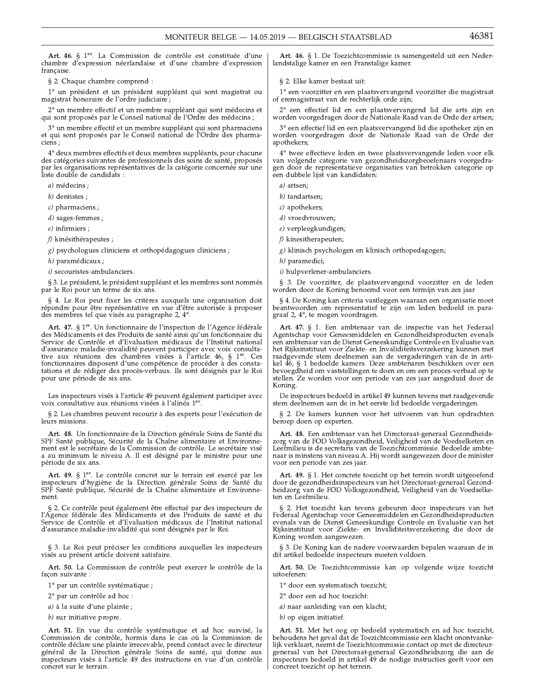Art. 46. § 1<sup>er</sup>. La Commission de contrôle est constituée d'une chambre d'expression néerlandaise et d'une chambre d'expression française. Art. 46. § 1<sup>er</sup>. La chambre d'expression<br>française.<br>§ 2. Chaque chambr<br><sup>1</sup>° un président et<br>magistrat honoraire de<br><sup>2</sup>° un membre effect<br>qui sont proposés par<br><sup>3</sup>° un membre effect<br>et qui sont proposés ]

§ 2. Chaque chambre comprend :

1° un président et un président suppléant qui sont magistrat ou magistrat honoraire de l'ordre judiciaire;

qui sont proposés par le Conseil national de l'Ordre des médecins ;

et qui sont proposés par le Conseil national de l'Ordre des pharmaciens :

Art. 46. § 1<sup>er</sup>. La Commission de contrôle est constituée d'une chambre d'expression néerlandaise et d'une chambre d'expression française.<br>
§ 2. Chaque chambre comprend :<br>
1° un président et un président suppléant qui son chambre d'expression néerlandaise et d'une chambre d'expression<br>française.<br>§ 2. Chaque chambre comprend :<br><sup>1°</sup> un président et un président suppléant qui sont magistrat ou<br>magistrat honoraire de l'ordre judiciaire ;<br><sup>2°</sup> u  $1^{\circ}$ un président et un président suppléant qui sont magistrat ou magistrat honoraire de l'ordre judiciaire ;<br>
2° un membre effectif et un membre suppléant qui sont médecins et qui sont proposés par le Conseil national <sup>1</sup> au présient et au présient suppleant qui sont magistrat bonoraire de l'ordre judiciaire ;<br>
2° un membre effectif et un membre suppléant qui sont médecins et<br>
qui sont proposés par le Conseil national de l'Ordre des méd par les organisations représentatives de la catégorie concernée sur une liste double de candidats : 4° deux membres effectifs et del<br>des catégories suivantes de profes<br>par les organisations représentati<br>liste double de candidats :<br><br> $a)$  médecins ;<br><br> $b)$  dentistes ;<br><br> $c)$  pharmaciens ;<br><br> $d)$  sages-femmes ;<br><br> $e)$  infirmie

a) médecins :

 $b)$  dentistes;

 $c$ ) pharmaciens ;

 $e$ ) infirmiers ;

 $f$ ) kinésithérapeutes ;

g) psychologues cliniciens et orthopédagogues cliniciens ;

h) paramédicaux ;

i) secouristes-ambulanciers.

§ 3. Le président, le président suppléant et les membres sont nommés par le Roi pour un terme de six ans.

§ 4. Le Roi peut fixer les critères auxquels une organisation doit répondre pour être représentative en vue d'être autorisée à proposer des membres tel que visés au paragraphe 2, 4°.

Art. 47. § 1<sup>er</sup>. Un fonctionnaire de l'inspection de l'Agence fédérale des Médicaments et des Produits de santé ainsi qu'un fonctionnaire du *H*) parameticaux *i*<br>
(*k*) examption in the président suppléant et les membres sont nommés<br>
Sa .<br>
Le Roi pour un terme de six ans.<br>
Se . Le Roi pour un terme de six ans.<br>
Se . Le Roi pour téxer les crities auxquels une o *i*) secouristes-ambulanciers.<br>
§ 3. Le président, le président suppléant et les membres sont nommés<br>
par le Roi pour un terme de six ans.<br>
§ 4. Le Roi peut fixer les critères auxquels une organisation doit<br>
répondre pour Service de Contrôle et d'Evaluation médicaux de l'Institut national d'assurance maladie-invalidite peuvent participer avec voix consulta-<br>tive aux réunions des chambres visées à l'article 46, § 1<sup>er</sup>. Ces § 4. Le Roi peut fixer les critères auxquels une organisation doit<br>
répondre pour être représentative en vue d'être autorisée à proposer<br>
des membres tel que visés au paragraphe 2, 4°.<br> **Art. 47.** § 1<sup>or</sup>. Un fonctionnair tations et de rédiger des procès-verbaux. Ils sont désignés par le Roi pour une période de six ans.

Les inspecteurs visés à l'article 49 peuvent également participer avec voix consultative aux réunions visées à l'alinéa 1er.

§ 2. Les chambres peuvent recourir à des experts pour l'exécution de leurs missions.

Art. 48. Un fonctionnaire de la Direction generale Soins de Sante du tations et de rédiger des procès-verb<br>pour une période de six ans.<br>Les inspecteurs visés à l'article 49 p<br>voix consultative aux réunions visées<br>§ 2. Les chambres peuvent recourir<br>leurs missions.<br>**Art. 48.** Un fonctionnaire SPF Santé publique, Sécurité de la Chaîne alimentaire et Environnement est le secrétaire de la Commission de contrôle. Le secrétaire visé a au minimum le niveau A. Il est désigné par le ministre pour une période de six ans.

Art. 49.  $\S$  1<sup>er</sup>. Le contrôle concret sur le terrain est exercé par les inspecteurs d'hygiene de la Direction générale Soins de Santé du SPF Santé publique, Sécurité de la Chaîne alimentaire et Environnement.

Tr Sante publique, Securite de la Chaine alimentaire et Environne-<br>ent est le secrétaire de la Commission de contrôle. Le secrétaire visé<br>riode de six ans.<br>Art. 49. § 1<sup>er</sup>. Le contrôle concret sur le terrain est exercé pa ment est le secretaire de la Commission de controle. Le secretaire vise<br>
a au minimum le niveau A. Il est désigné par le ministre pour une<br>
période de six ans.<br> **Art. 49.** § 1<sup>er</sup>. Le contrôle concret sur le terrain est ex Service de Contrôle et d'Evaluation médicaux de l'Institut national d'assurance maladie-invalidité qui sont désignés par le Roi. SPF Santé publique, Sécurité de la Chaîne alimentaire et<br>ment.<br>§ 2. Ce contrôle peut également être effectué par des ins<br>l'Agence fédérale des Médicaments et des Produits de s<br>Service de Contrôle et d'Evaluation médicaux d S 2. Ce controle peut egalement et<br>
l'Agence fédérale des Médicaments<br>
Service de Contrôle et d'Evaluation<br>
d'assurance maladie-invalidité qui sc<br>
S 3. Le Roi peut préciser les cond<br>
visés au présent article doivent satis

§ 3. Le Roi peut préciser les conditions auxquelles les inspecteurs visés au présent article doivent satisfaire.

Art. 50. La Commission de controle peut exercer le controle de la

2° par un contrôle ad hoc :

 $a)$  à la suite d'une plainte ;

b) sur initiative propre.

Art. 51. En vue du controle systematique et ad hoc susvise, la Commission de contrôle, hormis dans le cas où la Commission de contrôle déclare une plainte irrecevable, prend contact avec le directeur general de la Direction generale Soins de sante, qui donne aux inspecteurs visés à l'article 49 des instructions en vue d'un contrôle concret sur le terrain.

Art. 46. § 1. De Toezichtcommissie is samengesteld uit een Nederlandstalige kamer en een Franstalige kamer.

§ 2. Elke kamer bestaat uit:

 $1^{\circ}$ een voorzitter en een plaatsvervangend voorzitter die magistraat of eremagistraat van de rechterlijk orde zijn;

worden voorgedragen door de Nationale Raad van de Orde der artsen;

worden voorgedragen door de Nationale Raad van de Orde der apothekers:

'%(
() Art. 46. § 1. De Toezichtcommissie is samengesteld uit een Neder-<br>
pression | Art. 46. § 1. De Toezichtcommissie is samengesteld uit een Neder-<br>
start ou | ° een voorzitter en een plaatsvervangend voorzitter die magistraat Xaristrat ou<br>
Se al landstalige kamer en een Franstalige kamer.<br>
Se al landstalige kamer bestaat uit:<br>
1º een voorzitter en een plaatsvervangend voorzitter die magistraat<br>
of eremagistraat van de rechterlijk orde zijn;<br>
2º  $\begin{tabular}{ll} {\bf \textit{trat ou} } & 1^{\circ} \text{ een voorzitter en een plaatsvervangend voorzitter die magistraat \\ {\rm \textit{of eremagistraat van de rechterlijk orde zijn;} \\ & 2^{\circ} \text{ een effectief lid en een plaatsvervangend lid die arts zijn en worden voorgedragen door de Nationale Raad van de Orde der artsen; \\ & 3^{\circ} \text{ een effectief lid en een plaatsvervangend lid die apotheker zijn en worden voorgedragen door de Nationale Raad van de Orde der altsonale apothekers;} \\ & 4^{\circ} \text{ twee effectieve leden en twee plaatsvervangende leden voor elk van volgende categorie van gezondheidszorgbeoefenaars voorgedraaur une \\ & 4^{\$ Tect voorzitter ein plaatsvervangend tid die arts zijn en demagistraat van de rechterlijk orde zijn;<br>
2° een effectief lid en een plaatsvervangend lid die arts zijn en worden voorgedragen door de Nationale Raad van de Orde gen door de representatieve organisaties van betrokken categorie op een dubbele lijst van kandidaten:

a) artsen:

b) tandartsen;

c) apothekers;

d) vroedvrouwen:

e) verpleegkundigen;

 $f$ ) kinesitherapeuten;

g) klinisch psychologen en klinisch orthopedagogen;

h) paramedici;

i) hulpverlener-ambulanciers.

 $\frac{1}{8}$  3. De voorzitter, de plaatsvervangend voorzitter en de leden worden door de Koning benoemd voor een termijn van zes jaar

§ 4. De Koning kan criteria vastleggen waaraan een organisatie moet

*g*) kinisch psychologen en klinisch orthopedagogen;<br> *a*) kinisch psychologen en klinisch orthopedagogen;<br> *i*) hulpverlener-ambulanciers.<br>
§ 3. De voorzitter, de plaatsvervangend voorzitter en de leden<br>
worden door de K ens ;<br>
sont nommés<br>  $\begin{array}{r} g)$  klinisch psychologen en klinisch h<br>
i paramedici;<br>
i i hulpverlener-ambulanciers.<br>
Sont nommés<br>  $\begin{array}{r} g)$  s. De voorzitter, de plaatsve<br>
syanisation doit<br>
Se à proposer<br>
se à proposer<br>
le Art. 47. § 1. Een ambtenaar van de inspectie van het Federaal Agentschap voor Geneesmiddelen en Gezondheidsproducten evenals een ambtenaar van de Dienst Geneeskundige Controle en Evaluatie van ' het Rijksinstituut voor Ziekte- en Invaliditeitsverzekering kunnen met raadgevende stem deelnemen aan de vergaderingen van de in artikel 46, § I bedoelde kamers. Deze ambtenaren beschikken over een bevoegdheid om vaststellingen te doen en om een proces-verbaal op te stellen. Ze worden voor een periode van zes jaar aangeduid door de Koning.

> De inspecteurs bedoeld in artikel 49 kunnen tevens met raadgevende stem deelnemen aan de in het eerste lid bedoelde vergaderingen.

> § 2. De kamers kunnen voor het uitvoeren van hun opdrachten beroep doen op experten.

Art. 48. Een ambtenaar van het Directoraat-generaal Gezondheidszorg van de FOD Volksgezondheid, Veiligheid van de Voedselketen en ' Franchischer and Technomia (Soming).<br>
The inspecteurs bedoeld in artikel 49 kunnen tevens met raadgevende<br>
stem deelnemen aan de in het eerste lid bedoelde vergaderingen.<br>
Se 2. De kamers kunnen voor het uitvoeren van hun naar is minstens van niveau A. Hij wordt aangewezen door de minister voor een periode van zes jaar.

Art. 49. § 1. Het concrete toezicht op het terrein wordt uitgeoefend door de gezondheidsinspecteurs van het Directoraat-generaal Gezondheidzorg van de FOD Volksgezondheid, Veiligheid van de Voedselke-

2. De kamers kunnen voor het uitvoeren van hun opdrachten<br>
ep doen op experten.<br> **t. 48.** Een ambtenaar van het Directoraat-generaal Gezondheids-<br>
van de FOD Volksgezondheid, Veiligheid van de Voedselketen en<br>
nilieu is de Santé du<br>
xironne-<br>
xironne-<br>
xironne-<br>
xironne-<br>
xironne-<br>
xironne-<br>
xironne-<br>
xironne-<br>
xironne-<br>
xironne-<br>
xironne-<br>
xironne-<br>
xironne-<br>
xironne-<br>
xironne-<br>
xironne-<br>
xironne-<br>
xironne-<br>
xironne-<br>
xironne-<br>
xironne-<br>
xi § 2. Het toezicht kan tevens gebeuren door inspecteurs van het Federaal Agentschap voor Geneesmiddelen en Gezondheidsproducten evenals van de Dienst Geneeskundige Controle en Evaluatie van het<br>Pij Rijksinstituut voor Ziekte- en Invaliditeitsverzekering die door de Koning worden aangewezen. nspecteurs de<br>
e santé et du<br>
Federaal Agentschap voor Ciekte-<br>
Faitur national<br>
Roi.<br>
Roi.<br>
Roing worden aangeweze<br>
es inspecteurs<br>
S. De Koning kan de national<br>
dit artikel bedoelde inspecteur<br>
dit artikel bedoelde inspe

§ 3. De Koning kan de nadere voorwaarden bepalen waaraan de in ' dit artikel bedoelde inspecteurs moeten voldoen.

Art. 50. De Toezichtcommissie kan op volgende wijze toezicht

1° door een systematisch toezicht;

2° door een ad hoc toezicht:

a) naar aanleiding van een klacht;

dit artikel bedoelde inspecteurs moeten vold<br> **Art. 50.** De Toezichtcommissie kan op<br>
uitoefenen:<br>
1° door een systematisch toezicht;<br>
2° door een ad hoc toezicht:<br> *a*) naar aanleiding van een klacht;<br> *b*) op eigen initi Art. 51. Met het oog op bedoeld systematisch en ad hoc toezicht, behoudens het geval dat de Toezichtcommissie een klacht onontvanke-<br>}}} lijk verklaart, neemt de Toezichtcommissie contact op met de directeurgeneraal van het Directoraat-generaal Gezondheidszorg die aan de 2° door een ad hoc toezicht:<br> *a*) naar aanleiding van een klacht;<br> *b*) op eigen initiatief.<br> **Art. 51.** Met het oog op bedoeld systematisch en ad hoc toezicht,<br>
behoudens het geval dat de Toezichtcommissie een klacht ono concreet toezicht op het terrein.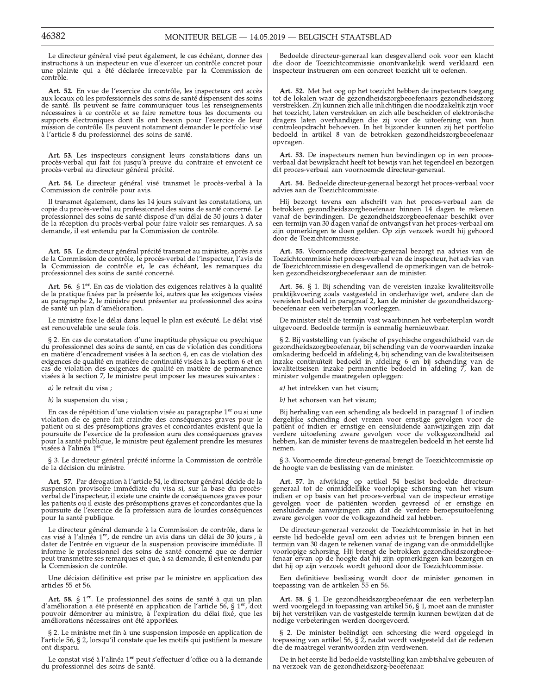Le directeur général visé peut également, le cas échéant, donner des instructions à un inspecteur en vue d'exercer un contrôle concret pour une plainte qui a été déclarée irrecevable par la Commission de contrôle.

Art. 52. En vue de l'exercice du contrôle, les inspecteurs ont accès aux locaux où les professionnels des soins de santé dispensent des soins de santé. Ils peuvent se faire communiquer tous les renseignements nécessaires à ce contrôle et se faire remettre tous les documents ou supports électroniques dont ils ont besoin pour l'exercice de leur mission de contrôle. Ils peuvent notamment demander le portfolio visé à l'article 8 du professionnel des soins de santé.

Art. 53. Les inspecteurs consignent leurs constatations dans un procès-verbal qui fait foi jusqu'à preuve du contraire et envoient ce procès-verbal au directeur général précité.

Art. 54. Le directeur général visé transmet le procès-verbal à la Commission de contrôle pour avis.

Il transmet également, dans les 14 jours suivant les constatations, un copie du procès-verbal au professionnel des soins de santé concerné. Le<br>professionnel des soins de santé dispose d'un délai de 30 jours à dater de la réception du procès-verbal pour faire valoir ses remarques. A sa demande, il est entendu par la Commission de contrôle.

Art. 55. Le directeur général précité transmet au ministre, après avis de la Commission de contrôle, le procès-verbal de l'inspecteur, l'avis de la Commission de contrôle et, le cas échéant, les remarques du professionnel des soins de santé concerné.

Art. 56. §  $1<sup>er</sup>$ . En cas de violation des exigences relatives à la qualité de la pratique fixées par la présente loi, autres que les exigences visées and paragraphe 2, le ministre peut présenter au professionnel des soins<br>de santé un plan d'amélioration.

Le ministre fixe le délai dans lequel le plan est exécuté. Le délai visé est renouvelable une seule fois.

§ 2. En cas de constatation d'une inaptitude physique ou psychique du professionnel des soins de santé, en cas de violation des conditions en matière d'encadrement visées à la section 4, en cas de violation des exigences de qualité en matière de continuité visées à la section 6 et en cas de violation des exigences de qualité en matière de permanence visées à la section 7, le ministre peut imposer les mesures suivantes :

a) le retrait du visa ;

b) la suspension du visa ;

En cas de répétition d'une violation visée au paragraphe 1<sup>er</sup> ou si une violation de ce genre fait craindre des conséquences graves pour le patient ou si des présomptions graves et concordantes existent que la poursuite de l'exercice de la profession aura des conséquences graves pour la santé publique, le ministre peut également prendre les mesures<br>visées à l'alinéa 1<sup>er</sup>.

§ 3. Le directeur général précité informe la Commission de contrôle de la décision du ministre.

Art. 57. Par dérogation à l'article 54, le directeur général décide de la suspension provisoire immédiate du visa si, sur la base du procèsverbal de l'inspecteur, il existe une crainte de conséquences graves pour les patients ou il existe des présomptions graves et concordantes que la poursuite de l'exercice de la profession aura de lourdes conséquences pour la santé publique.

Le directeur général demande à la Commission de contrôle, dans le cas visé à l'alinéa 1<sup>er</sup>, de rendre un avis dans un délai de 30 jours , à dater de l'entrée en vigueur de la suspension provisoire immédiate. Il informe le professionnel des soins de santé concerné que ce dernier peut transmettre ses remarques et que, à sa demande, il est entendu par la Commission de contrôle.

Une décision définitive est prise par le ministre en application des articles 55 et 56.

Art. 58. § 1<sup>er</sup>. Le professionnel des soins de santé à qui un plan d'amélioration a été présenté en application de l'article 56, § 1<sup>er</sup>, doit pouvoir démontrer au ministre, à l'expiration du délai fixé, que les améliorations nécessaires ont été apportées.

§ 2. Le ministre met fin à une suspension imposée en application de l'article 56, § 2, lorsqu'il constate que les motifs qui justifient la mesure ont disparu.

Le constat visé à l'alinéa 1<sup>er</sup> peut s'effectuer d'office ou à la demande du professionnel des soins de santé.

Bedoelde directeur-generaal kan desgevallend ook voor een klacht die door de Toezichtcommissie onontvankelijk werd verklaard een inspecteur instrueren om een concreet toezicht uit te oefenen.

Art. 52. Met het oog op het toezicht hebben de inspecteurs toegang tot de lokalen waar de gezondheidszorgbeoefenaars gezondheidszorg verstrekken. Zij kunnen zich alle inlichtingen die noodzakelijk zijn voor het toezicht, laten verstrekken en zich alle bescheiden of elektronische dragers laten overhandigen die zij voor de uitoefening van hun controleopdracht behoeven. In het bijzonder kunnen zij het portfolio bedoeld in artikel 8 van de betrokken gezondheidszorgbeoefenaar opvragen.

Art. 53. De inspecteurs nemen hun bevindingen op in een procesverbaal dat bewijskracht heeft tot bewijs van het tegendeel en bezorgen dit proces-verbaal aan voornoemde directeur-generaal.

Art. 54. Bedoelde directeur-generaal bezorgt het proces-verbaal voor advies aan de Toezichtcommissie.

Hij bezorgt tevens een afschrift van het proces-verbaal aan de betrokken gezondheidszorgbeoefenaar binnen 14 dagen te rekenen vanaf de bevindingen. De gezondheidszorgbeoefenaar beschikt over een termijn van 30 dagen vanaf de ontvangst van het proces-verbaal om zijn opmerkingen te doen gelden. Op zijn verzoek wordt hij gehoord door de Toezichtcommissie.

Art. 55. Voornoemde directeur-generaal bezorgt na advies van de Toezichtcommissie het proces-verbaal van de inspecteur, het advies van de Toezichtcommissie en desgevallend de opmerkingen van de betrokken gezondheidszorgbeoefenaar aan de minister.

Art. 56. § 1. Bij schending van de vereisten inzake kwaliteitsvolle raktijkvoering zoals vastgesteld in onderhavige wet, andere dan de<br>vereisten bedoeld in paragraaf 2, kan de minister de gezondheidszorg-<br>beoefenaar een verbeterplan voorleggen.

De minister stelt de termijn vast waarbinnen het verbeterplan wordt uitgevoerd. Bedoelde termijn is eenmalig hernieuwbaar.

§ 2. Bij vaststelling van fysische of psychische ongeschiktheid van de gezondheidszorgbeoefenaar, bij schending van de voorwaarden inzake omkadering bedoeld in afdeling 4, bij schending van de kwaliteitseisen ontanacing section in anticipate of the deling of ending various inzake continuiteit bedoeld in afdeling 6 en bij schending van de kwaliteitseisen inzake permanentie bedoeld in afdeling 7, kan de minister volgende maatrege

a) het intrekken van het visum:

b) het schorsen van het visum;

Bij herhaling van een schending als bedoeld in paragraaf 1 of indien dergelijke schending doet vrezen voor ernstige gevolgen voor de patiënt of indien er ernstige en eensluidende aanwijzingen zijn dat verdere uitoefening zware gevolgen voor de volksgezondheid zal hebben, kan de minister tevens de maatregelen bedoeld in het eerste lid nemen.

§ 3. Voornoemde directeur-generaal brengt de Toezichtcommissie op de hoogte van de beslissing van de minister.

Art. 57. In afwijking op artikel 54 beslist bedoelde directeur-<br>generaal tot de onmiddellijke voorlopige schorsing van het visum indien er op basis van het proces-verbaal van de inspecteur ernstige<br>gevolgen voor de patiënten worden gevreesd of er ernstige en eensluidende aanwijzingen zijn dat de verdere beroepsuitoefening zware gevolgen voor de volksgezondheid zal hebben.

De directeur-generaal verzoekt de Toezichtcommissie in het in het eerste lid bedoelde geval om een advies uit te brengen binnen een termijn van 30 dagen te rekenen vanaf de ingang van de onmiddellijke voorlopige schorsing. Hij brengt de betrokken gezondheidszorgbeoefenaar ervan op de hoogte dat hij zijn opmerkingen kan bezorgen en dat hij op zijn verzoek wordt gehoord door de Toezichtcommissie.

Een definitieve beslissing wordt door de minister genomen in toepassing van de artikelen $55$ en  $56.$ 

Art. 58. § 1. De gezondheidszorgbeoefenaar die een verbeterplan werd voorgelegd in toepassing van artikel 56, § 1, moet aan de minister bij het verstrijken van de vastgestelde termijn kunnen bewijzen dat de nodige verbeteringen werden doorgevoerd.

§ 2. De minister beëindigt een schorsing die werd opgelegd in toepassing van artikel 56, § 2, nadat wordt vastgesteld dat de redenen die de maatregel verantwoorden zijn verdwenen.

De in het eerste lid bedoelde vaststelling kan ambtshalve gebeuren of na verzoek van de gezondheidszorg-beoefenaar.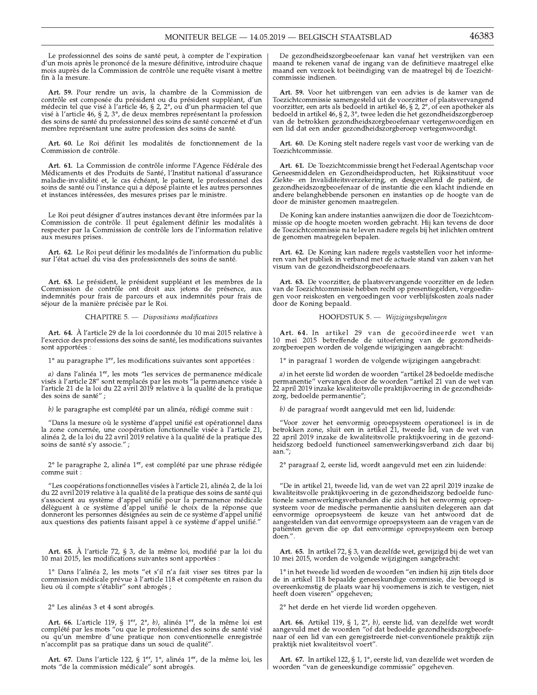Le professionnel des soins de santé peut, à compter de l'expiration d'un mois après le prononcé de la mesure définitive, introduire chaque mois auprès de la Commission de contrôle une requête visant à mettre fin à la mesure.

Art. 59. Pour rendre un avis, la chambre de la Commission de Forticle est composée du président ou du président suppléant, d'un<br>médecin tel que visé à l'article 46, § 2, 2°, ou d'un pharmacien tel que<br>visé à l'article 46, § 2, 3°, de deux membres représentant la profession des soins de santé du professionnel des soins de santé concerné et d'un membre représentant une autre profession des soins de santé.

Art. 60. Le Roi définit les modalités de fonctionnement de la Commission de contrôle.

Art. 61. La Commission de contrôle informe l'Agence Fédérale des Médicaments et des Produits de Santé, l'Institut national d'assurance maladie-invalidité et, le cas échéant, le patient, le professionnel des soins de santé ou l'instance qui a déposé plainte et les autres personnes et instances intéressées, des mesures prises par le ministre.

Le Roi peut désigner d'autres instances devant être informées par la Commission de contrôle. Il peut également définir les modalités à respecter par la Commission de contrôle lors de l'information relative aux mesures prises.

Art. 62. Le Roi peut définir les modalités de l'information du public sur l'état actuel du visa des professionnels des soins de santé.

Art. 63. Le président, le président suppléant et les membres de la Commission de contrôle ont droit aux jetons de présence, aux indemnités pour frais de parcours et aux indemnités pour frais de séjour de la manière précisée par le Roi.

CHAPITRE 5. - Dispositions modificatives

Art. 64. À l'article 29 de la loi coordonnée du 10 mai 2015 relative à l'exercice des professions des soins de santé, les modifications suivantes sont apportées :

1° au paragraphe 1<sup>er</sup>, les modifications suivantes sont apportées :

*a*) dans l'alinéa  $1<sup>er</sup>$ , les mots "les services de permanence médicale visés à l'article  $28''$  sont remplacés par les mots "la permanence visée à l'article 21 de la loi du 22 avril 2019 relative à la qualité de la pratique des soins de santé";

b) le paragraphe est complété par un alinéa, rédigé comme suit :

"Dans la mesure où le système d'appel unifié est opérationnel dans la zone concernée, une coopération fonctionnelle visée à l'article 21, alinéa 2, de la loi du 22 avril 2019 relative à la qualité de la pratique des soins de santé s'y associe.";

2° le paragraphe 2, alinéa 1<sup>er</sup>, est complété par une phrase rédigée comme suit :

"Les coopérations fonctionnelles visées à l'article 21, alinéa 2, de la loi du 22 avril<sup>2019</sup> relative à la qualité de la pratique des soins de santé qui s'associent au système d'appel unifié pour la permanence médicale<br>délèguent à ce système d'appel unifié le choix de la réponse que donneront les personnes désignées au sein de ce système d'appel unifié aux questions des patients faisant appel à ce système d'appel unifié.

Art. 65. À l'article 72, § 3, de la même loi, modifié par la loi du<br>10 mai 2015, les modifications suivantes sont apportées :

1° Dans l'alinéa 2, les mots "et s'il n'a fait viser ses titres par la commission médicale prévue à l'article 118 et compétente en raison du<br>lieu où il compte s'établir" sont abrogés ;

2° Les alinéas 3 et 4 sont abrogés.

Art. 66. L'article 119, § 1<sup>er</sup>, 2<sup>o</sup>, *b*), alinéa 1<sup>er</sup>, de la même loi est complété par les mots "ou que le professionnel des soins de santé visé ou qu'un membre d'une pratique non conventionnelle enregistrée n'accomplit pas sa pratique dans un souci de qualité".

Art. 67. Dans l'article 122, § 1<sup>er</sup>, 1<sup>°</sup>, alinéa 1<sup>er</sup>, de la même loi, les mots "de la commission médicale" sont abrogés.

De gezondheidszorgbeoefenaar kan vanaf het verstrijken van een maand te rekenen vanaf de ingang van de definitieve maatregel elke maand een verzoek tot beëindiging van de maatregel bij de Toezichtcommissie indienen.

Art. 59. Voor het uitbrengen van een advies is de kamer van de Toezichtcommissie samengesteld uit de voorzitter of plaatsvervangend roorzitter, een arts als bedoeld in artikel 46, § 2, 2°, of een apotheker als bedoeld in artikel 46, § 2, 2°, of een apotheker als bedoeld in artikel 46, § 2,  $3^{\circ}$ , twee leden die het gezondheidszorgberoep van de betrokken gezondheidszorgbeoefenaar vertegenwoordigen en een lid dat een ander gezondheidszorgberoep vertegenwoordigt.

Art. 60. De Koning stelt nadere regels vast voor de werking van de Toezichtcommissie.

Art. 61. De Toezichtcommissie brengt het Federaal Agentschap voor Geneesmiddelen en Gezondheidsproducten, het Rijksinstituut voor Ziekte- en Invaliditeitsverzekering, en desgevallend de patiënt, de gezondheidszorgbeoefenaar of de instantie die een klacht indiende en andere belanghebbende personen en instanties op de hoogte van de door de minister genomen maatregelen.

De Koning kan andere instanties aanwijzen die door de Toezichtcommissie op de hoogte moeten worden gebracht. Hij kan tevens de door de Toezichtcommissie na te leven nadere regels bij het inlichten omtrent de genomen maatregelen bepalen.

Art. 62. De Koning kan nadere regels vaststellen voor het informeren van het publiek in verband met de actuele stand van zaken van het visum van de gezondheidszorgbeoefenaars.

Art. 63. De voorzitter, de plaatsvervangende voorzitter en de leden van de Toezichtcommissie hebben recht op presentiegelden, vergoedingen voor reiskosten en vergoedingen voor verblijfskosten zoals nader door de Koning bepaald.

## HOOFDSTUK 5. - Wijzigingsbepalingen

Art. 64. In artikel 29 van de gecoördineerde wet van 10 mei 2015 betreffende de uitoefening van de gezondheidszorgberoepen worden de volgende wijzigingen aangebracht:

1° in paragraaf 1 worden de volgende wijzigingen aangebracht:

a) in het eerste lid worden de woorden "artikel 28 bedoelde medische permanentie" vervangen door de woorden "artikel 21 van de wet van 2 april 2019 inzake kwaliteitsvolle praktijkvoering in de gezondheidszorg, bedoelde permanentie";

b) de paragraaf wordt aangevuld met een lid, luidende:

"Voor zover het eenvormig oproepsysteem operationeel is in de betrokken zone, sluit een in artikel 21, tweede lid, van de wet van 22 april 2019 inzake de kwaliteitsvolle praktijkvoering in de gezondheidszorg bedoeld functioneel samenwerkingsverband zich daar bij aan.":

2° paragraaf 2, eerste lid, wordt aangevuld met een zin luidende:

"De in artikel 21, tweede lid, van de wet van 22 april 2019 inzake de kwaliteitsvolle praktijkvoering in de gezondheidszorg bedoelde functionele samenwerkingsverbanden die zich bij het eenvormig oproepsysteem voor de medische permanentie aansluiten delegeren aan dat envormige oproepsysteem de keuze van het antwoord dat de aangestelden van dat eenvormige oproepsysteem aan de vragen van de patiënten geven die op dat eenvormige oproepsysteem een beroep doen."

Art. 65. In artikel 72, § 3, van dezelfde wet, gewijzigd bij de wet van 10 mei 2015, worden de volgende wijzigingen aangebracht:

1° in het tweede lid worden de woorden "en indien hij zijn titels door de in artikel 118 bepaalde geneeskundige commissie, die bevoegd is overeenkomstig de plaats waar hij voornemens is zich te vestigen, niet heeft doen viseren" opgeheven;

2° het derde en het vierde lid worden opgeheven.

Art. 66. Artikel 119, § 1,  $2^{\circ}$ , *b*), eerste lid, van dezelfde wet wordt aangevuld met de woorden "of dat bedoelde gezondheidszorgbeoefeanar of een lid van een geregistreerde niet-conventionele praktijk zijn<br>praktijk niet kwaliteitsvol voert".

Art. 67. In artikel 122, § 1, 1°, eerste lid, van dezelfde wet worden de woorden "van de geneeskundige commissie" opgeheven.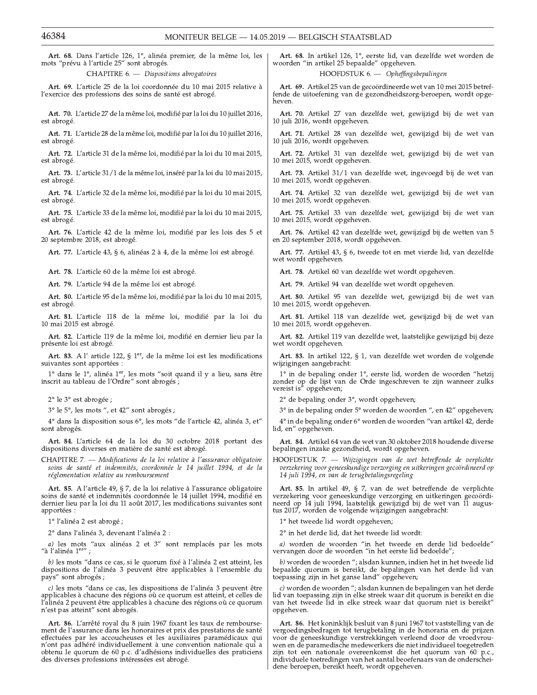Art. 68. Dans l'article 126, 1°, alinéa premier, de la même loi, les mots "prévu à l'article 25" sont abrogés.

CHAPITRE 6. - Dispositions abrogatoires

Art. 69. L'article 25 de la loi coordonnée du 10 mai 2015 relative à l'exercice des professions des soins de santé est abrogé.

Art. 70. L'article 27 de la même loi, modifié par la loi du 10 juillet 2016, est abrogé.

Art. 71. L'article 28 de la même loi, modifié par la loi du 10 juillet 2016, est abrogé.

Art. 72. L'article 31 de la même loi, modifié par la loi du 10 mai 2015, est abrogé.

Art. 73. L'article 31/1 de la même loi, inséré par la loi du 10 mai 2015, est abrogé.

Art. 74. L'article 32 de la même loi, modifié par la loi du 10 mai 2015, est abrogé.

Art. 75. L'article 33 de la même loi, modifié par la loi du 10 mai 2015, est abrogé.

Art. 76. L'article 42 de la même loi, modifié par les lois des 5 et 20 septembre 2018, est abrogé.

Art. 77. L'article 43, § 6, alinéas 2 à 4, de la même loi est abrogé.

Art. 78. L'article 60 de la même loi est abrogé.

Art. 79. L'article 94 de la même loi est abrogé.

Art. 80. L'article 95 de la même loi, modifié par la loi du 10 mai 2015, est abrogé.

Art. 81. L'article 118 de la même loi, modifié par la loi du 10 mai 2015 est abrogé.

Art. 82. L'article 119 de la même loi, modifié en dernier lieu par la présente loi est abrogé.

Art. 83. A l' article 122, § 1<sup>er</sup>, de la même loi est les modifications suivantes sont apportées :

1° dans le 1°, alinéa 1<sup>er</sup>, les mots "soit quand il y a lieu, sans être inscrit au tableau de l'Ordre" sont abrogés ;

2° le 3° est abrogée ;

3° le 5°, les mots ", et 42" sont abrogés ;

4° dans la disposition sous 6°, les mots "de l'article 42, alinéa 3, et" sont abrogés.

Art. 84. L'article 64 de la loi du 30 octobre 2018 portant des dispositions diverses en matière de santé est abrogé.

CHAPITRE 7. — Modifications de la loi relative à l'assurance obligatoire soins de santé et indemnités, coordonnée le 14 juillet 1994, et de la réglementation relative au remboursement

Art. 85. A l'article 49, § 7, de la loi relative à l'assurance obligatoire soins de santé et indemnités coordonnée le 14 juillet 1994, modifié en dernier lieu par la loi du 11 août 2017, les modifications suivantes sont apportées :

1º l'alinéa 2 est abrogé ;

2° dans l'alinéa 3, devenant l'alinéa 2 :

 $a)$ les mots "aux alinéas 2 et 3" sont remplacés par les mots "à l'alinéa $1^{\text{err}}$  ;

b) les mots "dans ce cas, si le quorum fixé à l'alinéa 2 est atteint, les dispositions de l'alinéa 3 peuvent être applicables à l'ensemble du pays" sont abrogés ;

c) les mots "dans ce cas, les dispositions de l'alinéa 3 peuvent être applicables à chacune des régions où ce quorum est atteint, et celles de l'alinéa 2 peuvent être applicables à chacune des régions où ce quorum<br>n'est pas atteint" sont abrogés.

Art. 86. L'arrêté royal du 8 juin 1967 fixant les taux de remboursement de l'assurance dans les honoraires et prix des prestations de santé effectuées par les accoucheuses et les auxiliaires paramédicaux qui n'ont pas adhéré individuellement à une convention nationale qui a obtenu le quorum de 60 p.c. d'adhésions individuelles des praticiens des diverses professions intéressées est abrogé.

Art. 68. In artikel 126, 1°, eerste lid, van dezelfde wet worden de woorden "in artikel 25 bepaalde" opgeheven.

## HOOFDSTUK 6. - Opheffingsbepalingen

Art. 69. Artikel 25 van de gecoördineerde wet van 10 mei 2015 betreffende de uitoefening van de gezondheidszorg-beroepen, wordt opge-

Art. 70. Artikel 27 van dezelfde wet, gewijzigd bij de wet van 10 juli 2016, wordt opgeheven.

Art. 71. Artikel 28 van dezelfde wet, gewijzigd bij de wet van 10 juli 2016, wordt opgeheven.

Art. 72. Artikel 31 van dezelfde wet, gewijzigd bij de wet van 10 mei 2015, wordt opgeheven.

Art. 73. Artikel 31/1 van dezelfde wet, ingevoegd bij de wet van 10 mei 2015, wordt opgeheven.

Art. 74. Artikel 32 van dezelfde wet, gewijzigd bij de wet van 10 mei 2015, wordt opgeheven.

Art. 75. Artikel 33 van dezelfde wet, gewijzigd bij de wet van 10 mei 2015, wordt opgeheven.

Art. 76. Artikel 42 van dezelfde wet, gewijzigd bij de wetten van 5 en 20 september 2018, wordt opgeheven.

Art. 77. Artikel 43, § 6, tweede tot en met vierde lid, van dezelfde wet wordt opgeheven.

Art. 78. Artikel 60 van dezelfde wet wordt opgeheven.

Art. 79. Artikel 94 van dezelfde wet wordt opgeheven.

Art. 80. Artikel 95 van dezelfde wet, gewijzigd bij de wet van 10 mei 2015, wordt opgeheven.

Art. 81. Artikel 118 van dezelfde wet, gewijzigd bij de wet van 10 mei 2015, wordt opgeheven.

Art. 82. Artikel 119 van dezelfde wet, laatstelijke gewijzigd bij deze wet wordt opgeheven.

Art. 83. In artikel 122, § 1, van dezelfde wet worden de volgende wijzigingen aangebracht:

1° in de bepaling onder 1°, eerste lid, worden de woorden "hetzij zonder op de lijst van de Orde ingeschreven te zijn wanneer zulks vereist is" opgeheven;

2° de bepaling onder 3°, wordt opgeheven;

3° in de bepaling onder 5° worden de woorden ", en 42" opgeheven;

4° in de bepaling onder 6° worden de woorden "van artikel 42, derde lid, en" opgeheven.

Art. 84. Artikel 64 van de wet van 30 oktober 2018 houdende diverse bepalingen inzake gezondheid, wordt opgeheven.

HOOFDSTUK 7. — Wijzigingen van de wet betreffende de verplichte verzekering voor geneeskundige verzorging en uitkeringen gecoördineerd op 14 juli 1994, en van de terugbetalingsregeling

Art. 85. In artikel 49, § 7, van de wet betreffende de verplichte verzekering voor geneeskundige verzorging en uitkeringen gecoördineerd op 14 juli 1994, laatstelijk gewijzigd bij de wet van 11 augustus 2017, worden de volgende wijzigingen aangebracht:

1° het tweede lid wordt opgeheven;

2° in het derde lid, dat het tweede lid wordt:

a) worden de woorden "in het tweede en derde lid bedoelde" vervangen door de woorden "in het eerste lid bedoelde";

b) worden de woorden "; alsdan kunnen, indien het in het tweede lid bepaalde quorum is bereikt, de bepalingen van het derde lid van<br>toepaalde quorum is bereikt, de bepalingen van het derde lid van<br>toepaasing zijn in het ganse land'' opgeheven;

c) worden de woorden "; alsdan kunnen de bepalingen van het derde lid van toepassing zijn in elke streek waar dit quorum is bereikt en die<br>van het tweede lid in elke streek waar dat quorum niet is bereikt" opgeheven.

Art. 86. Het koninklijk besluit van 8 juni 1967 tot vaststelling van de vergoedingsbedragen tot terugbetaling in de honoraria en de prijzen voor de geneeskundige verstrekkingen verleend door de vroedvrouwen en de paramedische medewerkers die niet individueel toegetreden<br>zijn tot een nationale overeenkomst die het quorum van 60 p.c., individuele toetredingen van het aantal beoefenaars van de onderscheidene beroepen, bereikt heeft, wordt opgeheven.